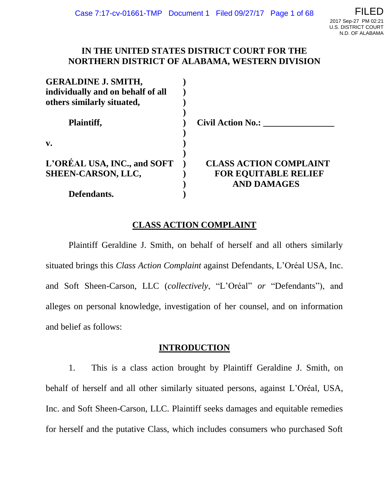## **IN THE UNITED STATES DISTRICT COURT FOR THE NORTHERN DISTRICT OF ALABAMA, WESTERN DIVISION**

| <b>GERALDINE J. SMITH,</b>        |                               |
|-----------------------------------|-------------------------------|
| individually and on behalf of all |                               |
| others similarly situated,        |                               |
| Plaintiff,                        | <b>Civil Action No.:</b>      |
| $V_{\bullet}$                     |                               |
| L'ORÉAL USA, INC., and SOFT       | <b>CLASS ACTION COMPLAINT</b> |
| SHEEN-CARSON, LLC,                | <b>FOR EQUITABLE RELIEF</b>   |
|                                   | <b>AND DAMAGES</b>            |
| Defendants.                       |                               |

# **CLASS ACTION COMPLAINT**

Plaintiff Geraldine J. Smith, on behalf of herself and all others similarly situated brings this *Class Action Complaint* against Defendants, L'Oréal USA, Inc. and Soft Sheen-Carson, LLC (*collectively*, "L'Oréal" *or* "Defendants"), and alleges on personal knowledge, investigation of her counsel, and on information and belief as follows:

## **INTRODUCTION**

1. This is a class action brought by Plaintiff Geraldine J. Smith, on behalf of herself and all other similarly situated persons, against L'Oréal, USA, Inc. and Soft Sheen-Carson, LLC. Plaintiff seeks damages and equitable remedies for herself and the putative Class, which includes consumers who purchased Soft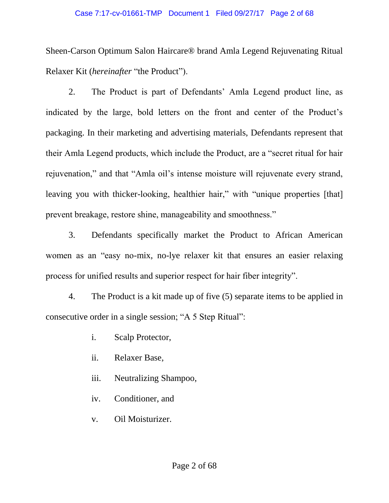#### Case 7:17-cv-01661-TMP Document 1 Filed 09/27/17 Page 2 of 68

Sheen-Carson Optimum Salon Haircare® brand Amla Legend Rejuvenating Ritual Relaxer Kit (*hereinafter* "the Product").

2. The Product is part of Defendants' Amla Legend product line, as indicated by the large, bold letters on the front and center of the Product's packaging. In their marketing and advertising materials, Defendants represent that their Amla Legend products, which include the Product, are a "secret ritual for hair rejuvenation," and that "Amla oil's intense moisture will rejuvenate every strand, leaving you with thicker-looking, healthier hair," with "unique properties [that] prevent breakage, restore shine, manageability and smoothness."

3. Defendants specifically market the Product to African American women as an "easy no-mix, no-lye relaxer kit that ensures an easier relaxing process for unified results and superior respect for hair fiber integrity".

4. The Product is a kit made up of five (5) separate items to be applied in consecutive order in a single session; "A 5 Step Ritual":

- i. Scalp Protector,
- ii. Relaxer Base,
- iii. Neutralizing Shampoo,
- iv. Conditioner, and
- v. Oil Moisturizer.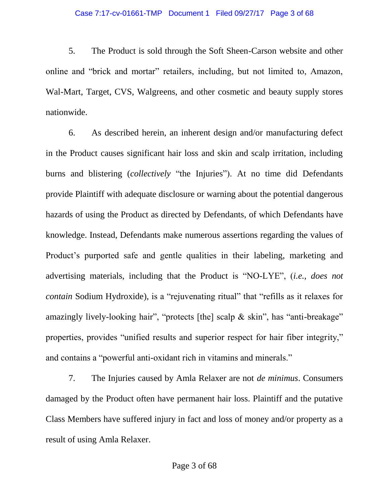5. The Product is sold through the Soft Sheen-Carson website and other online and "brick and mortar" retailers, including, but not limited to, Amazon, Wal-Mart, Target, CVS, Walgreens, and other cosmetic and beauty supply stores nationwide.

6. As described herein, an inherent design and/or manufacturing defect in the Product causes significant hair loss and skin and scalp irritation, including burns and blistering (*collectively* "the Injuries"). At no time did Defendants provide Plaintiff with adequate disclosure or warning about the potential dangerous hazards of using the Product as directed by Defendants, of which Defendants have knowledge. Instead, Defendants make numerous assertions regarding the values of Product's purported safe and gentle qualities in their labeling, marketing and advertising materials, including that the Product is "NO-LYE", (*i.e., does not contain* Sodium Hydroxide), is a "rejuvenating ritual" that "refills as it relaxes for amazingly lively-looking hair", "protects [the] scalp & skin", has "anti-breakage" properties, provides "unified results and superior respect for hair fiber integrity," and contains a "powerful anti-oxidant rich in vitamins and minerals."

7. The Injuries caused by Amla Relaxer are not *de minimus*. Consumers damaged by the Product often have permanent hair loss. Plaintiff and the putative Class Members have suffered injury in fact and loss of money and/or property as a result of using Amla Relaxer.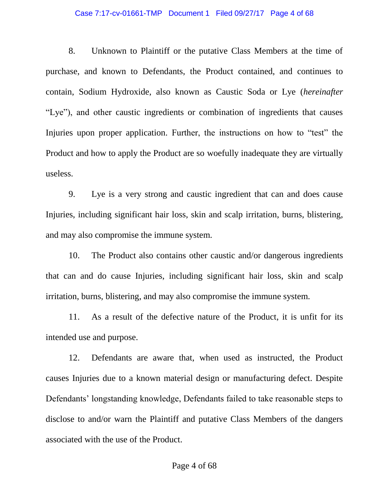#### Case 7:17-cv-01661-TMP Document 1 Filed 09/27/17 Page 4 of 68

8. Unknown to Plaintiff or the putative Class Members at the time of purchase, and known to Defendants, the Product contained, and continues to contain, Sodium Hydroxide, also known as Caustic Soda or Lye (*hereinafter*  "Lye"), and other caustic ingredients or combination of ingredients that causes Injuries upon proper application. Further, the instructions on how to "test" the Product and how to apply the Product are so woefully inadequate they are virtually useless.

9. Lye is a very strong and caustic ingredient that can and does cause Injuries, including significant hair loss, skin and scalp irritation, burns, blistering, and may also compromise the immune system.

10. The Product also contains other caustic and/or dangerous ingredients that can and do cause Injuries, including significant hair loss, skin and scalp irritation, burns, blistering, and may also compromise the immune system.

11. As a result of the defective nature of the Product, it is unfit for its intended use and purpose.

12. Defendants are aware that, when used as instructed, the Product causes Injuries due to a known material design or manufacturing defect. Despite Defendants' longstanding knowledge, Defendants failed to take reasonable steps to disclose to and/or warn the Plaintiff and putative Class Members of the dangers associated with the use of the Product.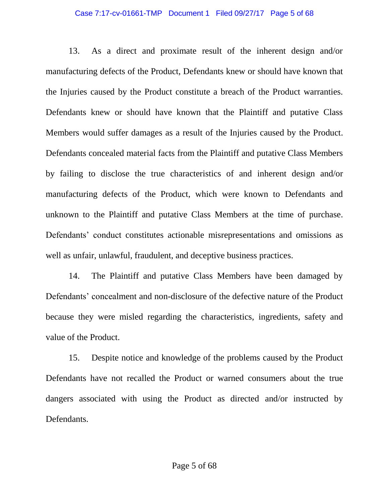#### Case 7:17-cv-01661-TMP Document 1 Filed 09/27/17 Page 5 of 68

13. As a direct and proximate result of the inherent design and/or manufacturing defects of the Product, Defendants knew or should have known that the Injuries caused by the Product constitute a breach of the Product warranties. Defendants knew or should have known that the Plaintiff and putative Class Members would suffer damages as a result of the Injuries caused by the Product. Defendants concealed material facts from the Plaintiff and putative Class Members by failing to disclose the true characteristics of and inherent design and/or manufacturing defects of the Product, which were known to Defendants and unknown to the Plaintiff and putative Class Members at the time of purchase. Defendants' conduct constitutes actionable misrepresentations and omissions as well as unfair, unlawful, fraudulent, and deceptive business practices.

14. The Plaintiff and putative Class Members have been damaged by Defendants' concealment and non-disclosure of the defective nature of the Product because they were misled regarding the characteristics, ingredients, safety and value of the Product.

15. Despite notice and knowledge of the problems caused by the Product Defendants have not recalled the Product or warned consumers about the true dangers associated with using the Product as directed and/or instructed by Defendants.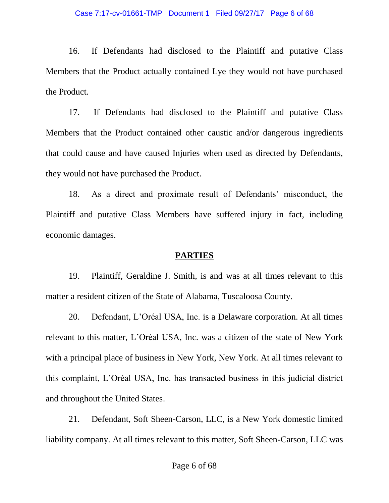#### Case 7:17-cv-01661-TMP Document 1 Filed 09/27/17 Page 6 of 68

16. If Defendants had disclosed to the Plaintiff and putative Class Members that the Product actually contained Lye they would not have purchased the Product.

17. If Defendants had disclosed to the Plaintiff and putative Class Members that the Product contained other caustic and/or dangerous ingredients that could cause and have caused Injuries when used as directed by Defendants, they would not have purchased the Product.

18. As a direct and proximate result of Defendants' misconduct, the Plaintiff and putative Class Members have suffered injury in fact, including economic damages.

## **PARTIES**

19. Plaintiff, Geraldine J. Smith, is and was at all times relevant to this matter a resident citizen of the State of Alabama, Tuscaloosa County.

20. Defendant, L'Oréal USA, Inc. is a Delaware corporation. At all times relevant to this matter, L'Oréal USA, Inc. was a citizen of the state of New York with a principal place of business in New York, New York. At all times relevant to this complaint, L'Oréal USA, Inc. has transacted business in this judicial district and throughout the United States.

21. Defendant, Soft Sheen-Carson, LLC, is a New York domestic limited liability company. At all times relevant to this matter, Soft Sheen-Carson, LLC was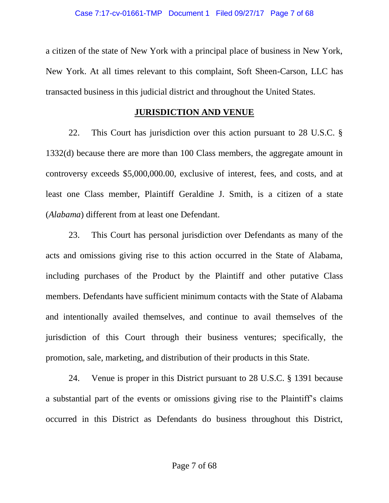a citizen of the state of New York with a principal place of business in New York, New York. At all times relevant to this complaint, Soft Sheen-Carson, LLC has transacted business in this judicial district and throughout the United States.

### **JURISDICTION AND VENUE**

22. This Court has jurisdiction over this action pursuant to 28 U.S.C. § 1332(d) because there are more than 100 Class members, the aggregate amount in controversy exceeds \$5,000,000.00, exclusive of interest, fees, and costs, and at least one Class member, Plaintiff Geraldine J. Smith, is a citizen of a state (*Alabama*) different from at least one Defendant.

23. This Court has personal jurisdiction over Defendants as many of the acts and omissions giving rise to this action occurred in the State of Alabama, including purchases of the Product by the Plaintiff and other putative Class members. Defendants have sufficient minimum contacts with the State of Alabama and intentionally availed themselves, and continue to avail themselves of the jurisdiction of this Court through their business ventures; specifically, the promotion, sale, marketing, and distribution of their products in this State.

24. Venue is proper in this District pursuant to 28 U.S.C. § 1391 because a substantial part of the events or omissions giving rise to the Plaintiff's claims occurred in this District as Defendants do business throughout this District,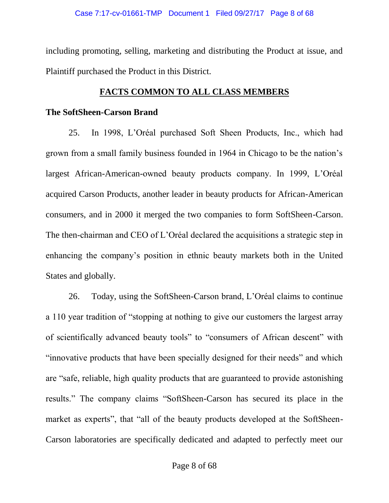including promoting, selling, marketing and distributing the Product at issue, and Plaintiff purchased the Product in this District.

### **FACTS COMMON TO ALL CLASS MEMBERS**

### **The SoftSheen-Carson Brand**

25. In 1998, L'Oréal purchased Soft Sheen Products, Inc., which had grown from a small family business founded in 1964 in Chicago to be the nation's largest African-American-owned beauty products company. In 1999, L'Oréal acquired Carson Products, another leader in beauty products for African-American consumers, and in 2000 it merged the two companies to form SoftSheen-Carson. The then-chairman and CEO of L'Oréal declared the acquisitions a strategic step in enhancing the company's position in ethnic beauty markets both in the United States and globally.

26. Today, using the SoftSheen-Carson brand, L'Oréal claims to continue a 110 year tradition of "stopping at nothing to give our customers the largest array of scientifically advanced beauty tools" to "consumers of African descent" with "innovative products that have been specially designed for their needs" and which are "safe, reliable, high quality products that are guaranteed to provide astonishing results." The company claims "SoftSheen-Carson has secured its place in the market as experts", that "all of the beauty products developed at the SoftSheen-Carson laboratories are specifically dedicated and adapted to perfectly meet our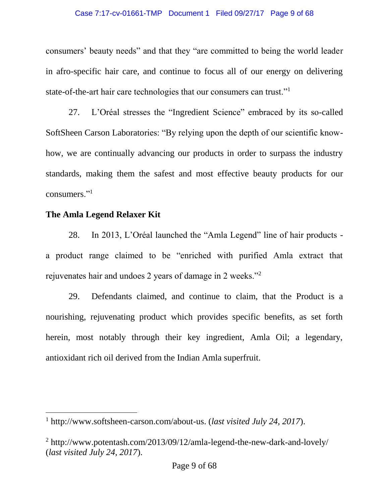#### Case 7:17-cv-01661-TMP Document 1 Filed 09/27/17 Page 9 of 68

consumers' beauty needs" and that they "are committed to being the world leader in afro-specific hair care, and continue to focus all of our energy on delivering state-of-the-art hair care technologies that our consumers can trust."<sup>1</sup>

27. L'Oréal stresses the "Ingredient Science" embraced by its so-called SoftSheen Carson Laboratories: "By relying upon the depth of our scientific knowhow, we are continually advancing our products in order to surpass the industry standards, making them the safest and most effective beauty products for our consumers."<sup>1</sup>

### **The Amla Legend Relaxer Kit**

 $\overline{a}$ 

28. In 2013, L'Oréal launched the "Amla Legend" line of hair products a product range claimed to be "enriched with purified Amla extract that rejuvenates hair and undoes 2 years of damage in 2 weeks."<sup>2</sup>

29. Defendants claimed, and continue to claim, that the Product is a nourishing, rejuvenating product which provides specific benefits, as set forth herein, most notably through their key ingredient, Amla Oil; a legendary, antioxidant rich oil derived from the Indian Amla superfruit.

<sup>1</sup> http://www.softsheen-carson.com/about-us. (*last visited July 24, 2017*).

<sup>2</sup> http://www.potentash.com/2013/09/12/amla-legend-the-new-dark-and-lovely/ (*last visited July 24, 2017*).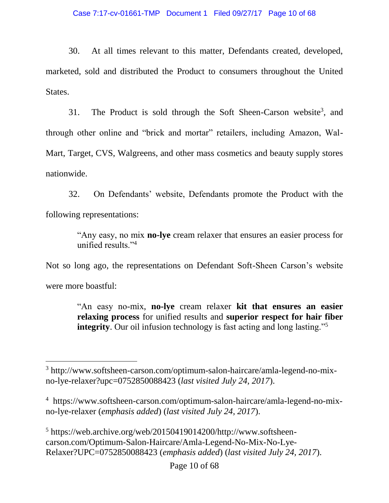#### Case 7:17-cv-01661-TMP Document 1 Filed 09/27/17 Page 10 of 68

30. At all times relevant to this matter, Defendants created, developed, marketed, sold and distributed the Product to consumers throughout the United States.

31. The Product is sold through the Soft Sheen-Carson website<sup>3</sup>, and through other online and "brick and mortar" retailers, including Amazon, Wal-Mart, Target, CVS, Walgreens, and other mass cosmetics and beauty supply stores nationwide.

32. On Defendants' website, Defendants promote the Product with the following representations:

> "Any easy, no mix **no-lye** cream relaxer that ensures an easier process for unified results."<sup>4</sup>

Not so long ago, the representations on Defendant Soft-Sheen Carson's website were more boastful:

> "An easy no-mix, **no-lye** cream relaxer **kit that ensures an easier relaxing process** for unified results and **superior respect for hair fiber integrity**. Our oil infusion technology is fast acting and long lasting."<sup>5</sup>

 $\overline{a}$ 

<sup>5</sup> https://web.archive.org/web/20150419014200/http://www.softsheencarson.com/Optimum-Salon-Haircare/Amla-Legend-No-Mix-No-Lye-Relaxer?UPC=0752850088423 (*emphasis added*) (*last visited July 24, 2017*).

<sup>3</sup> http://www.softsheen-carson.com/optimum-salon-haircare/amla-legend-no-mixno-lye-relaxer?upc=0752850088423 (*last visited July 24, 2017*).

<sup>4</sup> https://www.softsheen-carson.com/optimum-salon-haircare/amla-legend-no-mixno-lye-relaxer (*emphasis added*) (*last visited July 24, 2017*).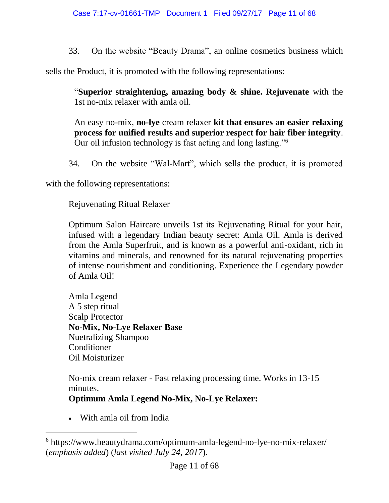33. On the website "Beauty Drama", an online cosmetics business which

sells the Product, it is promoted with the following representations:

"**Superior straightening, amazing body & shine. Rejuvenate** with the 1st no-mix relaxer with amla oil.

An easy no-mix, **no-lye** cream relaxer **kit that ensures an easier relaxing process for unified results and superior respect for hair fiber integrity**. Our oil infusion technology is fast acting and long lasting."<sup>6</sup>

34. On the website "Wal-Mart", which sells the product, it is promoted

with the following representations:

Rejuvenating Ritual Relaxer

Optimum Salon Haircare unveils 1st its Rejuvenating Ritual for your hair, infused with a legendary Indian beauty secret: Amla Oil. Amla is derived from the Amla Superfruit, and is known as a powerful anti-oxidant, rich in vitamins and minerals, and renowned for its natural rejuvenating properties of intense nourishment and conditioning. Experience the Legendary powder of Amla Oil!

Amla Legend A 5 step ritual Scalp Protector **No-Mix, No-Lye Relaxer Base** Nuetralizing Shampoo Conditioner Oil Moisturizer

No-mix cream relaxer - Fast relaxing processing time. Works in 13-15 minutes.

**Optimum Amla Legend No-Mix, No-Lye Relaxer:**

• With amla oil from India

<sup>6</sup> https://www.beautydrama.com/optimum-amla-legend-no-lye-no-mix-relaxer/ (*emphasis added*) (*last visited July 24, 2017*).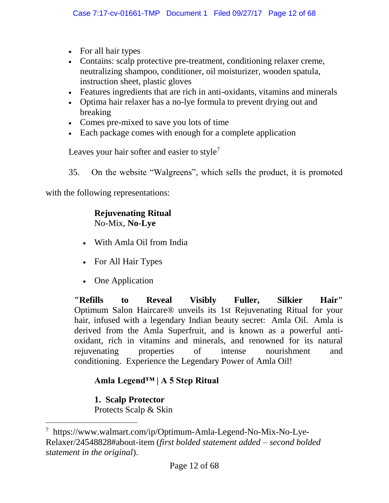- For all hair types
- Contains: scalp protective pre-treatment, conditioning relaxer creme, neutralizing shampoo, conditioner, oil moisturizer, wooden spatula, instruction sheet, plastic gloves
- Features ingredients that are rich in anti-oxidants, vitamins and minerals
- Optima hair relaxer has a no-lye formula to prevent drying out and breaking
- Comes pre-mixed to save you lots of time
- Each package comes with enough for a complete application

Leaves your hair softer and easier to style<sup>7</sup>

35. On the website "Walgreens", which sells the product, it is promoted

with the following representations:

### **Rejuvenating Ritual** No-Mix, **No-Lye**

- With Amla Oil from India
- For All Hair Types
- One Application

**"Refills to Reveal Visibly Fuller, Silkier Hair"** Optimum Salon Haircare® unveils its 1st Rejuvenating Ritual for your hair, infused with a legendary Indian beauty secret: Amla Oil. Amla is derived from the Amla Superfruit, and is known as a powerful antioxidant, rich in vitamins and minerals, and renowned for its natural rejuvenating properties of intense nourishment and conditioning. Experience the Legendary Power of Amla Oil!

# **Amla Legend™ | A 5 Step Ritual**

**1. Scalp Protector**

 $\overline{a}$ 

Protects Scalp & Skin

<sup>7</sup> https://www.walmart.com/ip/Optimum-Amla-Legend-No-Mix-No-Lye-Relaxer/24548828#about-item (*first bolded statement added – second bolded statement in the original*).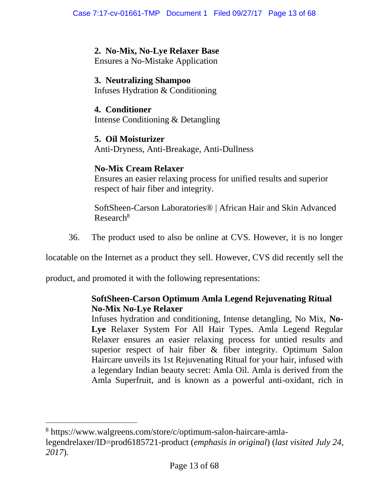## **2. No-Mix, No-Lye Relaxer Base**

Ensures a No-Mistake Application

## **3. Neutralizing Shampoo**

Infuses Hydration & Conditioning

## **4. Conditioner** Intense Conditioning & Detangling

### **5. Oil Moisturizer** Anti-Dryness, Anti-Breakage, Anti-Dullness

# **No-Mix Cream Relaxer**

Ensures an easier relaxing process for unified results and superior respect of hair fiber and integrity.

SoftSheen-Carson Laboratories® | African Hair and Skin Advanced Research<sup>8</sup>

36. The product used to also be online at CVS. However, it is no longer

locatable on the Internet as a product they sell. However, CVS did recently sell the

product, and promoted it with the following representations:

 $\overline{a}$ 

# **SoftSheen-Carson Optimum Amla Legend Rejuvenating Ritual No-Mix No-Lye Relaxer**

Infuses hydration and conditioning, Intense detangling, No Mix, **No-Lye** Relaxer System For All Hair Types. Amla Legend Regular Relaxer ensures an easier relaxing process for untied results and superior respect of hair fiber & fiber integrity. Optimum Salon Haircare unveils its 1st Rejuvenating Ritual for your hair, infused with a legendary Indian beauty secret: Amla Oil. Amla is derived from the Amla Superfruit, and is known as a powerful anti-oxidant, rich in

<sup>8</sup> https://www.walgreens.com/store/c/optimum-salon-haircare-amlalegendrelaxer/ID=prod6185721-product (*emphasis in original*) (*last visited July 24, 2017*).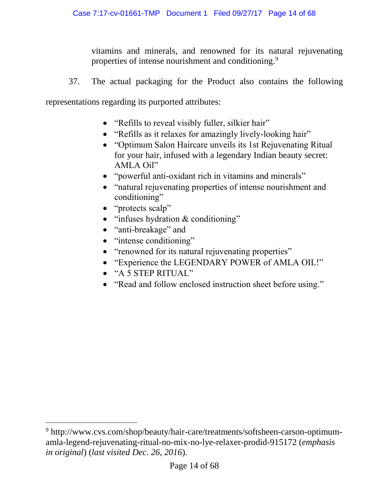vitamins and minerals, and renowned for its natural rejuvenating properties of intense nourishment and conditioning.<sup>9</sup>

37. The actual packaging for the Product also contains the following

representations regarding its purported attributes:

- "Refills to reveal visibly fuller, silkier hair"
- "Refills as it relaxes for amazingly lively-looking hair"
- "Optimum Salon Haircare unveils its 1st Rejuvenating Ritual for your hair, infused with a legendary Indian beauty secret: AMLA Oil"
- "powerful anti-oxidant rich in vitamins and minerals"
- "natural rejuvenating properties of intense nourishment and conditioning"
- "protects scalp"
- "infuses hydration & conditioning"
- "anti-breakage" and
- "intense conditioning"
- "renowned for its natural rejuvenating properties"
- "Experience the LEGENDARY POWER of AMLA OIL!"
- "A 5 STEP RITUAL"

 $\overline{a}$ 

• "Read and follow enclosed instruction sheet before using."

<sup>9</sup> http://www.cvs.com/shop/beauty/hair-care/treatments/softsheen-carson-optimumamla-legend-rejuvenating-ritual-no-mix-no-lye-relaxer-prodid-915172 (*emphasis in original*) (*last visited Dec. 26, 2016*).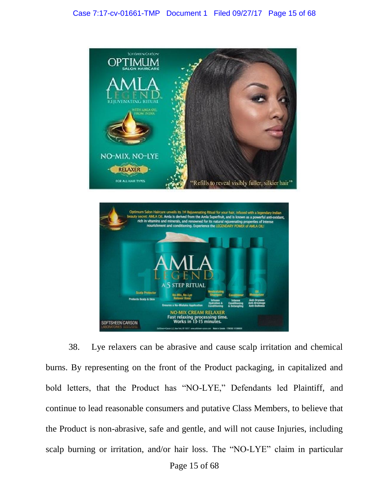

38. Lye relaxers can be abrasive and cause scalp irritation and chemical burns. By representing on the front of the Product packaging, in capitalized and bold letters, that the Product has "NO-LYE," Defendants led Plaintiff, and continue to lead reasonable consumers and putative Class Members, to believe that the Product is non-abrasive, safe and gentle, and will not cause Injuries, including scalp burning or irritation, and/or hair loss. The "NO-LYE" claim in particular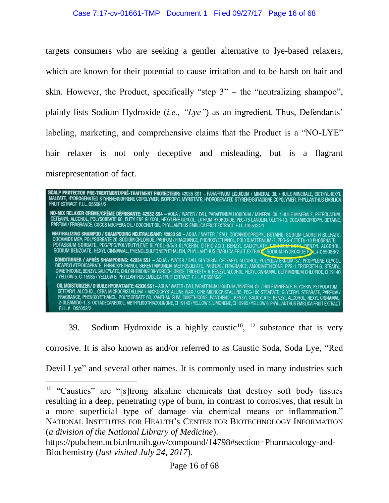targets consumers who are seeking a gentler alternative to lye-based relaxers, which are known for their potential to cause irritation and to be harsh on hair and skin. However, the Product, specifically "step  $3"$  – the "neutralizing shampoo", plainly lists Sodium Hydroxide (*i.e., "Lye"*) as an ingredient. Thus, Defendants' labeling, marketing, and comprehensive claims that the Product is a "NO-LYE" hair relaxer is not only deceptive and misleading, but is a flagrant misrepresentation of fact.



39. Sodium Hydroxide is a highly caustic<sup>10</sup>,  $12$  substance that is very

corrosive. It is also known as and/or referred to as Caustic Soda, Soda Lye, "Red

Devil Lye" and several other names. It is commonly used in many industries such

<sup>&</sup>lt;sup>10</sup> "Caustics" are "[s]trong alkaline chemicals that destroy soft body tissues resulting in a deep, penetrating type of burn, in contrast to corrosives, that result in a more superficial type of damage via chemical means or inflammation." NATIONAL INSTITUTES FOR HEALTH's CENTER FOR BIOTECHNOLOGY INFORMATION (*a division of the National Library of Medicine*).

https://pubchem.ncbi.nlm.nih.gov/compound/14798#section=Pharmacology-and-Biochemistry (*last visited July 24, 2017*).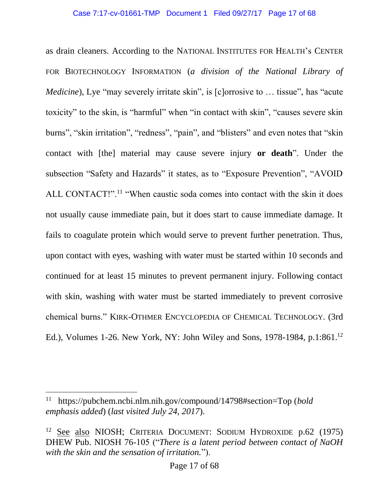#### Case 7:17-cv-01661-TMP Document 1 Filed 09/27/17 Page 17 of 68

as drain cleaners. According to the NATIONAL INSTITUTES FOR HEALTH's CENTER FOR BIOTECHNOLOGY INFORMATION (*a division of the National Library of Medicine*), Lye "may severely irritate skin", is [c]orrosive to ... tissue", has "acute toxicity" to the skin, is "harmful" when "in contact with skin", "causes severe skin burns", "skin irritation", "redness", "pain", and "blisters" and even notes that "skin contact with [the] material may cause severe injury **or death**". Under the subsection "Safety and Hazards" it states, as to "Exposure Prevention", "AVOID ALL CONTACT!".<sup>11</sup> "When caustic soda comes into contact with the skin it does not usually cause immediate pain, but it does start to cause immediate damage. It fails to coagulate protein which would serve to prevent further penetration. Thus, upon contact with eyes, washing with water must be started within 10 seconds and continued for at least 15 minutes to prevent permanent injury. Following contact with skin, washing with water must be started immediately to prevent corrosive chemical burns." KIRK-OTHMER ENCYCLOPEDIA OF CHEMICAL TECHNOLOGY. (3rd Ed.), Volumes 1-26. New York, NY: John Wiley and Sons, 1978-1984, p.1:861.<sup>12</sup>

<sup>11</sup> https://pubchem.ncbi.nlm.nih.gov/compound/14798#section=Top (*bold emphasis added*) (*last visited July 24, 2017*).

<sup>&</sup>lt;sup>12</sup> See also NIOSH; CRITERIA DOCUMENT: SODIUM HYDROXIDE p.62 (1975) DHEW Pub. NIOSH 76-105 ("*There is a latent period between contact of NaOH with the skin and the sensation of irritation.*").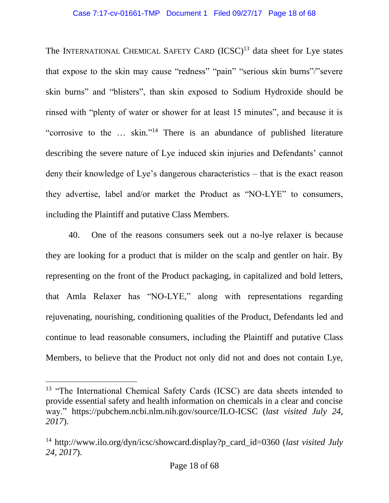#### Case 7:17-cv-01661-TMP Document 1 Filed 09/27/17 Page 18 of 68

The INTERNATIONAL CHEMICAL SAFETY CARD (ICSC)<sup>13</sup> data sheet for Lye states that expose to the skin may cause "redness" "pain" "serious skin burns"/"severe skin burns" and "blisters", than skin exposed to Sodium Hydroxide should be rinsed with "plenty of water or shower for at least 15 minutes", and because it is "corrosive to the … skin."<sup>14</sup> There is an abundance of published literature describing the severe nature of Lye induced skin injuries and Defendants' cannot deny their knowledge of Lye's dangerous characteristics – that is the exact reason they advertise, label and/or market the Product as "NO-LYE" to consumers, including the Plaintiff and putative Class Members.

40. One of the reasons consumers seek out a no-lye relaxer is because they are looking for a product that is milder on the scalp and gentler on hair. By representing on the front of the Product packaging, in capitalized and bold letters, that Amla Relaxer has "NO-LYE," along with representations regarding rejuvenating, nourishing, conditioning qualities of the Product, Defendants led and continue to lead reasonable consumers, including the Plaintiff and putative Class Members, to believe that the Product not only did not and does not contain Lye,

<sup>&</sup>lt;sup>13</sup> "The International Chemical Safety Cards (ICSC) are data sheets intended to provide essential safety and health information on chemicals in a clear and concise way." https://pubchem.ncbi.nlm.nih.gov/source/ILO-ICSC (*last visited July 24, 2017*).

<sup>&</sup>lt;sup>14</sup> http://www.ilo.org/dyn/icsc/showcard.display?p\_card\_id=0360 (*last visited July 24, 2017*).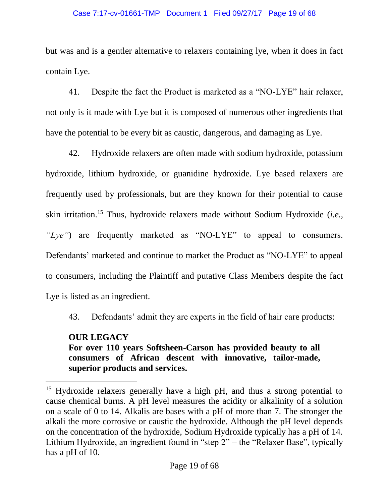### Case 7:17-cv-01661-TMP Document 1 Filed 09/27/17 Page 19 of 68

but was and is a gentler alternative to relaxers containing lye, when it does in fact contain Lye.

41. Despite the fact the Product is marketed as a "NO-LYE" hair relaxer, not only is it made with Lye but it is composed of numerous other ingredients that have the potential to be every bit as caustic, dangerous, and damaging as Lye.

42. Hydroxide relaxers are often made with sodium hydroxide, potassium hydroxide, lithium hydroxide, or guanidine hydroxide. Lye based relaxers are frequently used by professionals, but are they known for their potential to cause skin irritation.<sup>15</sup> Thus, hydroxide relaxers made without Sodium Hydroxide (*i.e., "Lye"*) are frequently marketed as "NO-LYE" to appeal to consumers. Defendants' marketed and continue to market the Product as "NO-LYE" to appeal to consumers, including the Plaintiff and putative Class Members despite the fact Lye is listed as an ingredient.

43. Defendants' admit they are experts in the field of hair care products:

## **OUR LEGACY For over 110 years Softsheen-Carson has provided beauty to all consumers of African descent with innovative, tailor-made, superior products and services.**

<sup>&</sup>lt;sup>15</sup> Hydroxide relaxers generally have a high pH, and thus a strong potential to cause chemical burns. A pH level measures the acidity or alkalinity of a solution on a scale of 0 to 14. Alkalis are bases with a pH of more than 7. The stronger the alkali the more corrosive or caustic the hydroxide. Although the pH level depends on the concentration of the hydroxide, Sodium Hydroxide typically has a pH of 14. Lithium Hydroxide, an ingredient found in "step 2" – the "Relaxer Base", typically has a pH of 10.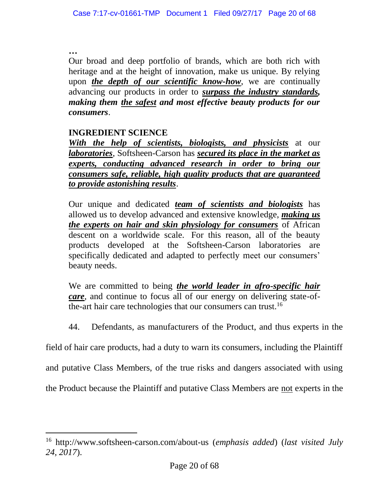**…**

 $\overline{a}$ 

Our broad and deep portfolio of brands, which are both rich with heritage and at the height of innovation, make us unique. By relying upon *the depth of our scientific know-how*, we are continually advancing our products in order to *surpass the industry standards, making them the safest and most effective beauty products for our consumers*.

## **INGREDIENT SCIENCE**

*With the help of scientists, biologists, and physicists* at our *laboratories*, Softsheen-Carson has *secured its place in the market as experts, conducting advanced research in order to bring our consumers safe, reliable, high quality products that are guaranteed to provide astonishing results*.

Our unique and dedicated *team of scientists and biologists* has allowed us to develop advanced and extensive knowledge, *making us the experts on hair and skin physiology for consumers* of African descent on a worldwide scale. For this reason, all of the beauty products developed at the Softsheen-Carson laboratories are specifically dedicated and adapted to perfectly meet our consumers' beauty needs.

We are committed to being *the world leader in afro-specific hair care*, and continue to focus all of our energy on delivering state-ofthe-art hair care technologies that our consumers can trust.<sup>16</sup>

44. Defendants, as manufacturers of the Product, and thus experts in the

field of hair care products, had a duty to warn its consumers, including the Plaintiff

and putative Class Members, of the true risks and dangers associated with using

the Product because the Plaintiff and putative Class Members are not experts in the

<sup>16</sup> http://www.softsheen-carson.com/about-us (*emphasis added*) (*last visited July 24, 2017*).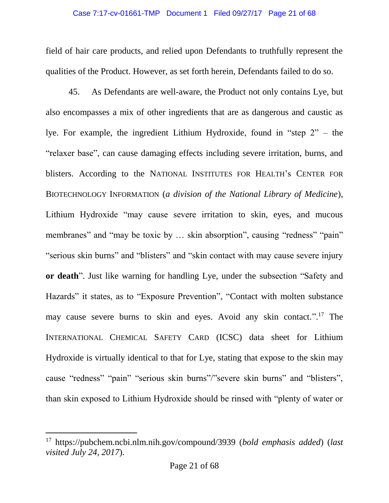#### Case 7:17-cv-01661-TMP Document 1 Filed 09/27/17 Page 21 of 68

field of hair care products, and relied upon Defendants to truthfully represent the qualities of the Product. However, as set forth herein, Defendants failed to do so.

45. As Defendants are well-aware, the Product not only contains Lye, but also encompasses a mix of other ingredients that are as dangerous and caustic as lye. For example, the ingredient Lithium Hydroxide, found in "step 2" – the "relaxer base", can cause damaging effects including severe irritation, burns, and blisters. According to the NATIONAL INSTITUTES FOR HEALTH's CENTER FOR BIOTECHNOLOGY INFORMATION (*a division of the National Library of Medicine*), Lithium Hydroxide "may cause severe irritation to skin, eyes, and mucous membranes" and "may be toxic by ... skin absorption", causing "redness" "pain" "serious skin burns" and "blisters" and "skin contact with may cause severe injury **or death**". Just like warning for handling Lye, under the subsection "Safety and Hazards" it states, as to "Exposure Prevention", "Contact with molten substance may cause severe burns to skin and eyes. Avoid any skin contact.".<sup>17</sup> The INTERNATIONAL CHEMICAL SAFETY CARD (ICSC) data sheet for Lithium Hydroxide is virtually identical to that for Lye, stating that expose to the skin may cause "redness" "pain" "serious skin burns"/"severe skin burns" and "blisters", than skin exposed to Lithium Hydroxide should be rinsed with "plenty of water or

<sup>17</sup> https://pubchem.ncbi.nlm.nih.gov/compound/3939 (*bold emphasis added*) (*last visited July 24, 2017*).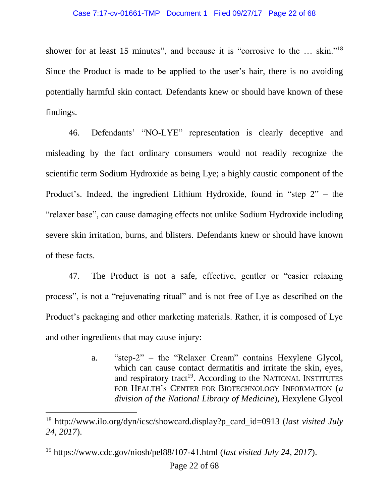#### Case 7:17-cv-01661-TMP Document 1 Filed 09/27/17 Page 22 of 68

shower for at least 15 minutes", and because it is "corrosive to the ... skin."<sup>18</sup> Since the Product is made to be applied to the user's hair, there is no avoiding potentially harmful skin contact. Defendants knew or should have known of these findings.

46. Defendants' "NO-LYE" representation is clearly deceptive and misleading by the fact ordinary consumers would not readily recognize the scientific term Sodium Hydroxide as being Lye; a highly caustic component of the Product's. Indeed, the ingredient Lithium Hydroxide, found in "step 2" – the "relaxer base", can cause damaging effects not unlike Sodium Hydroxide including severe skin irritation, burns, and blisters. Defendants knew or should have known of these facts.

47. The Product is not a safe, effective, gentler or "easier relaxing process", is not a "rejuvenating ritual" and is not free of Lye as described on the Product's packaging and other marketing materials. Rather, it is composed of Lye and other ingredients that may cause injury:

> a. "step-2" – the "Relaxer Cream" contains Hexylene Glycol, which can cause contact dermatitis and irritate the skin, eyes, and respiratory tract<sup>19</sup>. According to the NATIONAL INSTITUTES FOR HEALTH's CENTER FOR BIOTECHNOLOGY INFORMATION (*a division of the National Library of Medicine*), Hexylene Glycol

<sup>18</sup> http://www.ilo.org/dyn/icsc/showcard.display?p\_card\_id=0913 (*last visited July 24, 2017*).

<sup>19</sup> https://www.cdc.gov/niosh/pel88/107-41.html (*last visited July 24, 2017*).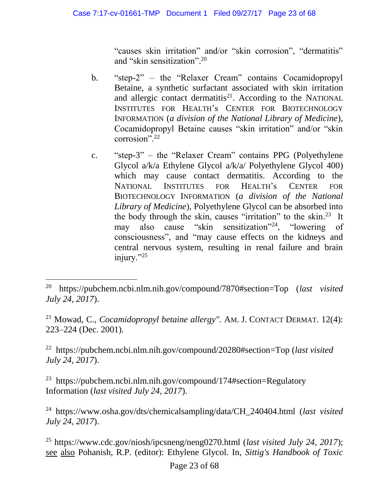"causes skin irritation" and/or "skin corrosion", "dermatitis" and "skin sensitization". 20

- b. "step-2" the "Relaxer Cream" contains Cocamidopropyl Betaine, a synthetic surfactant associated with skin irritation and allergic contact dermatitis<sup>21</sup>. According to the NATIONAL INSTITUTES FOR HEALTH's CENTER FOR BIOTECHNOLOGY INFORMATION (*a division of the National Library of Medicine*), Cocamidopropyl Betaine causes "skin irritation" and/or "skin corrosion<sup>". 22</sup>
- c. "step-3" the "Relaxer Cream" contains PPG (Polyethylene Glycol a/k/a Ethylene Glycol a/k/a/ Polyethylene Glycol 400) which may cause contact dermatitis. According to the NATIONAL INSTITUTES FOR HEALTH's CENTER FOR BIOTECHNOLOGY INFORMATION (*a division of the National Library of Medicine*), Polyethylene Glycol can be absorbed into the body through the skin, causes "irritation" to the skin. <sup>23</sup> It may also cause "skin sensitization"<sup>24</sup>, "lowering of consciousness", and "may cause effects on the kidneys and central nervous system, resulting in renal failure and brain injury."25

 $\overline{a}$ 

<sup>21</sup> Mowad, C*.*, *Cocamidopropyl betaine allergy".* AM. J. CONTACT DERMAT*.* 12(4): 223–224 (Dec. 2001).

<sup>22</sup> https://pubchem.ncbi.nlm.nih.gov/compound/20280#section=Top (*last visited July 24, 2017*).

<sup>23</sup> https://pubchem.ncbi.nlm.nih.gov/compound/174#section=Regulatory Information (*last visited July 24, 2017*).

<sup>24</sup> https://www.osha.gov/dts/chemicalsampling/data/CH\_240404.html (*last visited July 24, 2017*).

<sup>25</sup> https://www.cdc.gov/niosh/ipcsneng/neng0270.html (*last visited July 24, 2017*); see also Pohanish, R.P. (editor): Ethylene Glycol. In, *Sittig's Handbook of Toxic* 

<sup>20</sup> https://pubchem.ncbi.nlm.nih.gov/compound/7870#section=Top (*last visited July 24, 2017*).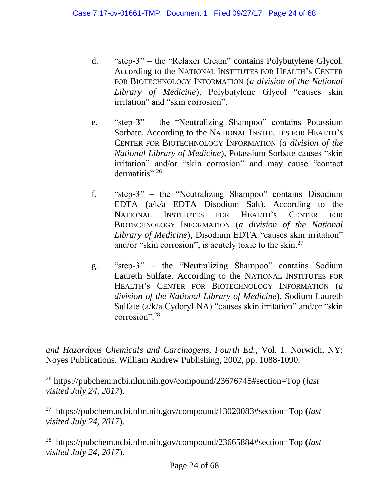- d. "step-3" the "Relaxer Cream" contains Polybutylene Glycol. According to the NATIONAL INSTITUTES FOR HEALTH's CENTER FOR BIOTECHNOLOGY INFORMATION (*a division of the National Library of Medicine*), Polybutylene Glycol "causes skin irritation" and "skin corrosion".
- e. "step-3" the "Neutralizing Shampoo" contains Potassium Sorbate. According to the NATIONAL INSTITUTES FOR HEALTH's CENTER FOR BIOTECHNOLOGY INFORMATION (*a division of the National Library of Medicine*), Potassium Sorbate causes "skin irritation" and/or "skin corrosion" and may cause "contact dermatitis".<sup>26</sup>
- f. "step-3" the "Neutralizing Shampoo" contains Disodium EDTA (a/k/a EDTA Disodium Salt). According to the NATIONAL INSTITUTES FOR HEALTH's CENTER FOR BIOTECHNOLOGY INFORMATION (*a division of the National Library of Medicine*), Disodium EDTA "causes skin irritation" and/or "skin corrosion", is acutely toxic to the skin.<sup>27</sup>
- g. "step-3" the "Neutralizing Shampoo" contains Sodium Laureth Sulfate. According to the NATIONAL INSTITUTES FOR HEALTH's CENTER FOR BIOTECHNOLOGY INFORMATION (*a division of the National Library of Medicine*), Sodium Laureth Sulfate (a/k/a Cydoryl NA) "causes skin irritation" and/or "skin corrosion".<sup>28</sup>

*and Hazardous Chemicals and Carcinogens, Fourth Ed.*, Vol. 1. Norwich, NY: Noyes Publications, William Andrew Publishing, 2002, pp. 1088-1090.

<sup>26</sup> https://pubchem.ncbi.nlm.nih.gov/compound/23676745#section=Top (*last visited July 24, 2017*).

 $\overline{a}$ 

<sup>27</sup> https://pubchem.ncbi.nlm.nih.gov/compound/13020083#section=Top (*last visited July 24, 2017*).

<sup>28</sup> https://pubchem.ncbi.nlm.nih.gov/compound/23665884#section=Top (*last visited July 24, 2017*).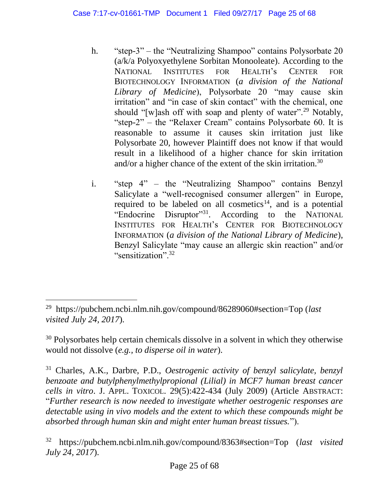- h. "step-3" the "Neutralizing Shampoo" contains Polysorbate 20 (a/k/a Polyoxyethylene Sorbitan Monooleate). According to the NATIONAL INSTITUTES FOR HEALTH's CENTER FOR BIOTECHNOLOGY INFORMATION (*a division of the National Library of Medicine*), Polysorbate 20 "may cause skin irritation" and "in case of skin contact" with the chemical, one should "[w]ash off with soap and plenty of water".<sup>29</sup> Notably, "step-2" – the "Relaxer Cream" contains Polysorbate 60. It is reasonable to assume it causes skin irritation just like Polysorbate 20, however Plaintiff does not know if that would result in a likelihood of a higher chance for skin irritation and/or a higher chance of the extent of the skin irritation.<sup>30</sup>
- i. "step 4" the "Neutralizing Shampoo" contains Benzyl Salicylate a "well-recognised consumer allergen" in Europe, required to be labeled on all cosmetics<sup>14</sup>, and is a potential "Endocrine Disruptor"<sup>31</sup>. According to the NATIONAL INSTITUTES FOR HEALTH's CENTER FOR BIOTECHNOLOGY INFORMATION (*a division of the National Library of Medicine*), Benzyl Salicylate "may cause an allergic skin reaction" and/or "sensitization".<sup>32</sup>

<sup>29</sup> https://pubchem.ncbi.nlm.nih.gov/compound/86289060#section=Top (*last visited July 24, 2017*).

<sup>&</sup>lt;sup>30</sup> Polysorbates help certain chemicals dissolve in a solvent in which they otherwise would not dissolve (*e.g., to disperse oil in water*).

<sup>31</sup> Charles, A.K., Darbre, P.D., *Oestrogenic activity of benzyl salicylate, benzyl benzoate and butylphenylmethylpropional (Lilial) in MCF7 human breast cancer cells in vitro*. J. APPL. TOXICOL. 29(5):422-434 (July 2009) (Article ABSTRACT: "*Further research is now needed to investigate whether oestrogenic responses are detectable using in vivo models and the extent to which these compounds might be absorbed through human skin and might enter human breast tissues.*").

<sup>32</sup> https://pubchem.ncbi.nlm.nih.gov/compound/8363#section=Top (*last visited July 24, 2017*).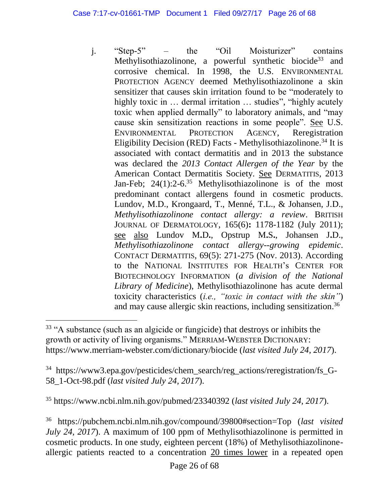j. "Step-5" – the "Oil Moisturizer" contains Methylisothiazolinone, a powerful synthetic biocide<sup>33</sup> and corrosive chemical. In 1998, the U.S. ENVIRONMENTAL PROTECTION AGENCY deemed Methylisothiazolinone a skin sensitizer that causes skin irritation found to be "moderately to highly toxic in ... dermal irritation ... studies", "highly acutely toxic when applied dermally" to laboratory animals, and "may cause skin sensitization reactions in some people". See U.S. ENVIRONMENTAL PROTECTION AGENCY, Reregistration Eligibility Decision (RED) Facts - Methylisothiazolinone.<sup>34</sup> It is associated with contact dermatitis and in 2013 the substance was declared the *2013 Contact Allergen of the Year* by the American Contact Dermatitis Society. See DERMATITIS, 2013 Jan-Feb;  $24(1)$ :2-6.<sup>35</sup> Methylisothiazolinone is of the most predominant contact allergens found in cosmetic products. Lundov, M.D., Krongaard, T., Menné, T.L., & Johansen, J.D., *Methylisothiazolinone contact allergy: a review*. BRITISH JOURNAL OF DERMATOLOGY, 165(6)**:** 1178-1182 (July 2011); see also [Lundov M](https://www.ncbi.nlm.nih.gov/pubmed/?term=Lundov%20MD%5BAuthor%5D&cauthor=true&cauthor_uid=24117738)**.**D**.**, [Opstrup M](https://www.ncbi.nlm.nih.gov/pubmed/?term=Opstrup%20MS%5BAuthor%5D&cauthor=true&cauthor_uid=24117738)**.**S**.**, [Johansen J](https://www.ncbi.nlm.nih.gov/pubmed/?term=Johansen%20JD%5BAuthor%5D&cauthor=true&cauthor_uid=24117738)**.**D., *Methylisothiazolinone contact allergy--growing epidemic*. CONTACT DERMATITIS, 69(5): 271-275 (Nov. 2013). According to the NATIONAL INSTITUTES FOR HEALTH's CENTER FOR BIOTECHNOLOGY INFORMATION (*a division of the National Library of Medicine*), Methylisothiazolinone has acute dermal toxicity characteristics (*i.e., "toxic in contact with the skin"*) and may cause allergic skin reactions, including sensitization. 36

 $\overline{a}$ 

<sup>35</sup> https://www.ncbi.nlm.nih.gov/pubmed/23340392 (*last visited July 24, 2017*).

<sup>36</sup> https://pubchem.ncbi.nlm.nih.gov/compound/39800#section=Top (*last visited July 24, 2017*). A maximum of 100 ppm of Methylisothiazolinone is permitted in cosmetic products. In one study, eighteen percent (18%) of Methylisothiazolinoneallergic patients reacted to a concentration 20 times lower in a repeated open

<sup>&</sup>lt;sup>33</sup> "A substance (such as an algicide or fungicide) that destroys or inhibits the growth or activity of living organisms." MERRIAM-WEBSTER DICTIONARY: https://www.merriam-webster.com/dictionary/biocide (*last visited July 24, 2017*).

<sup>34</sup> https://www3.epa.gov/pesticides/chem\_search/reg\_actions/reregistration/fs\_G-58\_1-Oct-98.pdf (*last visited July 24, 2017*).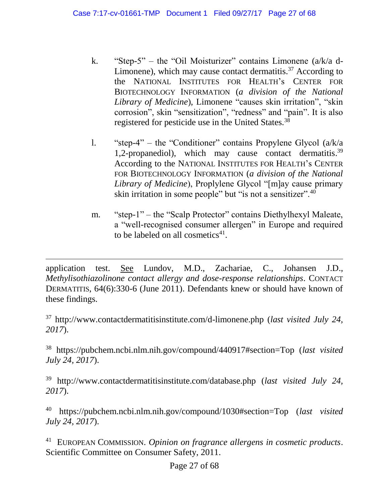- k. "Step-5" the "Oil Moisturizer" contains Limonene (a/k/a d-Limonene), which may cause contact dermatitis.<sup>37</sup> According to the NATIONAL INSTITUTES FOR HEALTH's CENTER FOR BIOTECHNOLOGY INFORMATION (*a division of the National Library of Medicine*), Limonene "causes skin irritation", "skin corrosion", skin "sensitization", "redness" and "pain". It is also registered for pesticide use in the United States.<sup>38</sup>
- l. "step-4" the "Conditioner" contains Propylene Glycol (a/k/a 1,2-propanediol), which may cause contact dermatitis.<sup>39</sup> According to the NATIONAL INSTITUTES FOR HEALTH's CENTER FOR BIOTECHNOLOGY INFORMATION (*a division of the National Library of Medicine*), Proplylene Glycol "[m]ay cause primary skin irritation in some people" but "is not a sensitizer".<sup>40</sup>
- m. "step-1" the "Scalp Protector" contains Diethylhexyl Maleate, a "well-recognised consumer allergen" in Europe and required to be labeled on all cosmetics $41$ .

application test. See [Lundov, M.D.](https://www.ncbi.nlm.nih.gov/pubmed/?term=Lundov%20MD%5BAuthor%5D&cauthor=true&cauthor_uid=21504436), [Zachariae,](https://www.ncbi.nlm.nih.gov/pubmed/?term=Zachariae%20C%5BAuthor%5D&cauthor=true&cauthor_uid=21504436) C., [Johansen J.D.](https://www.ncbi.nlm.nih.gov/pubmed/?term=Johansen%20JD%5BAuthor%5D&cauthor=true&cauthor_uid=21504436), *Methylisothiazolinone contact allergy and dose-response relationships*. CONTACT DERMATITIS, 64(6):330-6 (June 2011). Defendants knew or should have known of these findings.

 $\overline{a}$ 

<sup>37</sup> http://www.contactdermatitisinstitute.com/d-limonene.php (*last visited July 24, 2017*).

<sup>38</sup> https://pubchem.ncbi.nlm.nih.gov/compound/440917#section=Top (*last visited July 24, 2017*).

<sup>39</sup> http://www.contactdermatitisinstitute.com/database.php (*last visited July 24, 2017*).

<sup>40</sup> https://pubchem.ncbi.nlm.nih.gov/compound/1030#section=Top (*last visited July 24, 2017*).

<sup>41</sup> EUROPEAN COMMISSION. *Opinion on fragrance allergens in cosmetic products*. Scientific Committee on Consumer Safety, 2011.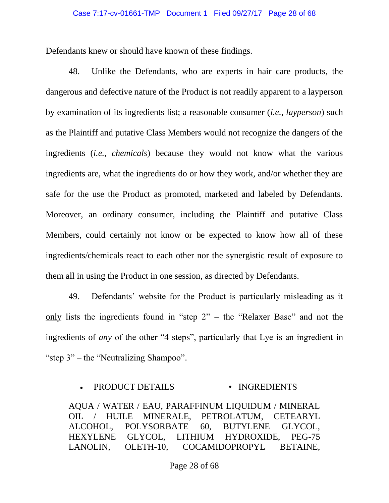Defendants knew or should have known of these findings.

48. Unlike the Defendants, who are experts in hair care products, the dangerous and defective nature of the Product is not readily apparent to a layperson by examination of its ingredients list; a reasonable consumer (*i.e., layperson*) such as the Plaintiff and putative Class Members would not recognize the dangers of the ingredients (*i.e., chemicals*) because they would not know what the various ingredients are, what the ingredients do or how they work, and/or whether they are safe for the use the Product as promoted, marketed and labeled by Defendants. Moreover, an ordinary consumer, including the Plaintiff and putative Class Members, could certainly not know or be expected to know how all of these ingredients/chemicals react to each other nor the synergistic result of exposure to them all in using the Product in one session, as directed by Defendants.

49. Defendants' website for the Product is particularly misleading as it only lists the ingredients found in "step 2" – the "Relaxer Base" and not the ingredients of *any* of the other "4 steps", particularly that Lye is an ingredient in "step 3" – the "Neutralizing Shampoo".

### PRODUCT DETAILS • INGREDIENTS

AQUA / WATER / EAU, PARAFFINUM LIQUIDUM / MINERAL OIL / HUILE MINERALE, PETROLATUM, CETEARYL ALCOHOL, POLYSORBATE 60, BUTYLENE GLYCOL, HEXYLENE GLYCOL, LITHIUM HYDROXIDE, PEG-75 LANOLIN, OLETH-10, COCAMIDOPROPYL BETAINE,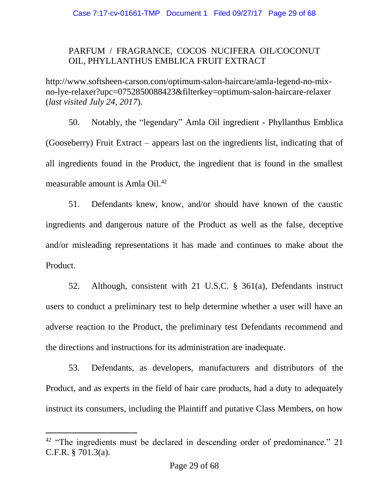## PARFUM / FRAGRANCE, COCOS NUCIFERA OIL/COCONUT OIL, PHYLLANTHUS EMBLICA FRUIT EXTRACT

http://www.softsheen-carson.com/optimum-salon-haircare/amla-legend-no-mixno-lye-relaxer?upc=0752850088423&filterkey=optimum-salon-haircare-relaxer (*last visited July 24, 2017*).

50. Notably, the "legendary" Amla Oil ingredient - Phyllanthus Emblica (Gooseberry) Fruit Extract – appears last on the ingredients list, indicating that of all ingredients found in the Product, the ingredient that is found in the smallest measurable amount is Amla Oil. 42

51. Defendants knew, know, and/or should have known of the caustic ingredients and dangerous nature of the Product as well as the false, deceptive and/or misleading representations it has made and continues to make about the Product.

52. Although, consistent with 21 U.S.C. § 361(a), Defendants instruct users to conduct a preliminary test to help determine whether a user will have an adverse reaction to the Product, the preliminary test Defendants recommend and the directions and instructions for its administration are inadequate.

53. Defendants, as developers, manufacturers and distributors of the Product, and as experts in the field of hair care products, had a duty to adequately instruct its consumers, including the Plaintiff and putative Class Members, on how

<sup>&</sup>lt;sup>42</sup> "The ingredients must be declared in descending order of predominance." 21 C.F.R. § 701.3(a).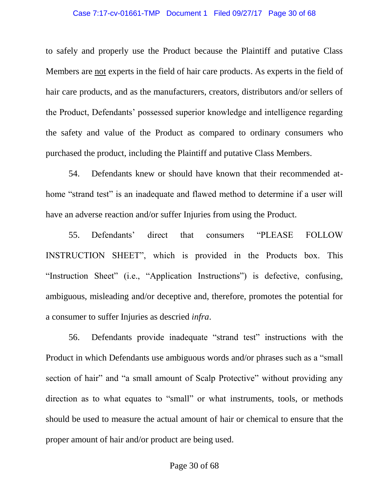#### Case 7:17-cv-01661-TMP Document 1 Filed 09/27/17 Page 30 of 68

to safely and properly use the Product because the Plaintiff and putative Class Members are not experts in the field of hair care products. As experts in the field of hair care products, and as the manufacturers, creators, distributors and/or sellers of the Product, Defendants' possessed superior knowledge and intelligence regarding the safety and value of the Product as compared to ordinary consumers who purchased the product, including the Plaintiff and putative Class Members.

54. Defendants knew or should have known that their recommended athome "strand test" is an inadequate and flawed method to determine if a user will have an adverse reaction and/or suffer Injuries from using the Product.

55. Defendants' direct that consumers "PLEASE FOLLOW INSTRUCTION SHEET", which is provided in the Products box. This "Instruction Sheet" (i.e., "Application Instructions") is defective, confusing, ambiguous, misleading and/or deceptive and, therefore, promotes the potential for a consumer to suffer Injuries as descried *infra*.

56. Defendants provide inadequate "strand test" instructions with the Product in which Defendants use ambiguous words and/or phrases such as a "small section of hair" and "a small amount of Scalp Protective" without providing any direction as to what equates to "small" or what instruments, tools, or methods should be used to measure the actual amount of hair or chemical to ensure that the proper amount of hair and/or product are being used.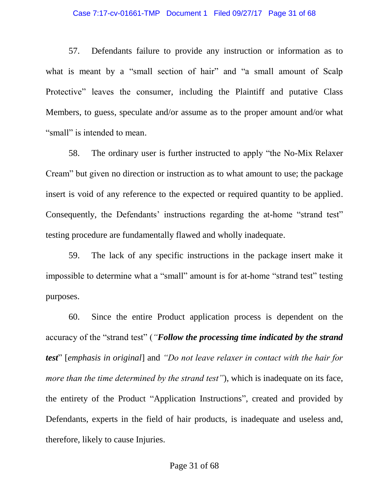#### Case 7:17-cv-01661-TMP Document 1 Filed 09/27/17 Page 31 of 68

57. Defendants failure to provide any instruction or information as to what is meant by a "small section of hair" and "a small amount of Scalp Protective" leaves the consumer, including the Plaintiff and putative Class Members, to guess, speculate and/or assume as to the proper amount and/or what "small" is intended to mean.

58. The ordinary user is further instructed to apply "the No-Mix Relaxer Cream" but given no direction or instruction as to what amount to use; the package insert is void of any reference to the expected or required quantity to be applied. Consequently, the Defendants' instructions regarding the at-home "strand test" testing procedure are fundamentally flawed and wholly inadequate.

59. The lack of any specific instructions in the package insert make it impossible to determine what a "small" amount is for at-home "strand test" testing purposes.

60. Since the entire Product application process is dependent on the accuracy of the "strand test" (*"Follow the processing time indicated by the strand test*" [*emphasis in original*] and *"Do not leave relaxer in contact with the hair for more than the time determined by the strand test"*), which is inadequate on its face, the entirety of the Product "Application Instructions", created and provided by Defendants, experts in the field of hair products, is inadequate and useless and, therefore, likely to cause Injuries.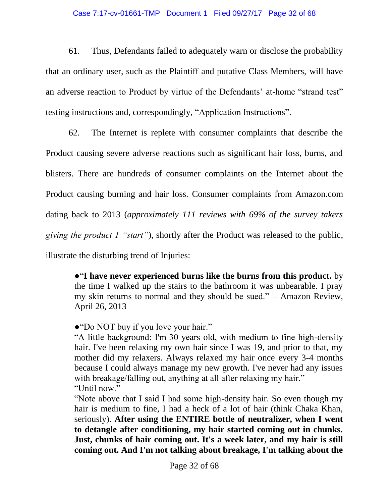#### Case 7:17-cv-01661-TMP Document 1 Filed 09/27/17 Page 32 of 68

61. Thus, Defendants failed to adequately warn or disclose the probability that an ordinary user, such as the Plaintiff and putative Class Members, will have an adverse reaction to Product by virtue of the Defendants' at-home "strand test" testing instructions and, correspondingly, "Application Instructions".

62. The Internet is replete with consumer complaints that describe the Product causing severe adverse reactions such as significant hair loss, burns, and blisters. There are hundreds of consumer complaints on the Internet about the Product causing burning and hair loss. Consumer complaints from Amazon.com dating back to 2013 (*approximately 111 reviews with 69% of the survey takers giving the product 1 "start"*), shortly after the Product was released to the public, illustrate the disturbing trend of Injuries:

●"**I have never experienced burns like the burns from this product.** by the time I walked up the stairs to the bathroom it was unbearable. I pray my skin returns to normal and they should be sued." – Amazon Review, April 26, 2013

●"Do NOT buy if you love your hair."

"A little background: I'm 30 years old, with medium to fine high-density hair. I've been relaxing my own hair since I was 19, and prior to that, my mother did my relaxers. Always relaxed my hair once every 3-4 months because I could always manage my new growth. I've never had any issues with breakage/falling out, anything at all after relaxing my hair." "Until now."

"Note above that I said I had some high-density hair. So even though my hair is medium to fine, I had a heck of a lot of hair (think Chaka Khan, seriously). **After using the ENTIRE bottle of neutralizer, when I went to detangle after conditioning, my hair started coming out in chunks. Just, chunks of hair coming out. It's a week later, and my hair is still coming out. And I'm not talking about breakage, I'm talking about the**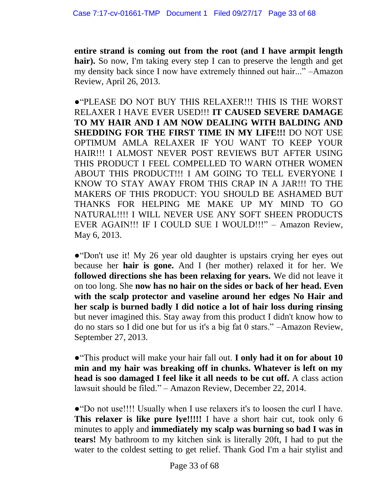**entire strand is coming out from the root (and I have armpit length**  hair). So now, I'm taking every step I can to preserve the length and get my density back since I now have extremely thinned out hair..." –Amazon Review, April 26, 2013.

●"PLEASE DO NOT BUY THIS RELAXER!!! THIS IS THE WORST RELAXER I HAVE EVER USED!!! **IT CAUSED SEVERE DAMAGE TO MY HAIR AND I AM NOW DEALING WITH BALDING AND SHEDDING FOR THE FIRST TIME IN MY LIFE!!!** DO NOT USE OPTIMUM AMLA RELAXER IF YOU WANT TO KEEP YOUR HAIR!!! I ALMOST NEVER POST REVIEWS BUT AFTER USING THIS PRODUCT I FEEL COMPELLED TO WARN OTHER WOMEN ABOUT THIS PRODUCT!!! I AM GOING TO TELL EVERYONE I KNOW TO STAY AWAY FROM THIS CRAP IN A JAR!!! TO THE MAKERS OF THIS PRODUCT: YOU SHOULD BE ASHAMED BUT THANKS FOR HELPING ME MAKE UP MY MIND TO GO NATURAL!!!! I WILL NEVER USE ANY SOFT SHEEN PRODUCTS EVER AGAIN!!! IF I COULD SUE I WOULD!!!" – Amazon Review, May 6, 2013.

●"Don't use it! My 26 year old daughter is upstairs crying her eyes out because her **hair is gone.** And I (her mother) relaxed it for her. We **followed directions she has been relaxing for years.** We did not leave it on too long. She **now has no hair on the sides or back of her head. Even with the scalp protector and vaseline around her edges No Hair and her scalp is burned badly I did notice a lot of hair loss during rinsing**  but never imagined this. Stay away from this product I didn't know how to do no stars so I did one but for us it's a big fat 0 stars." –Amazon Review, September 27, 2013.

●"This product will make your hair fall out. **I only had it on for about 10 min and my hair was breaking off in chunks. Whatever is left on my head is soo damaged I feel like it all needs to be cut off.** A class action lawsuit should be filed." – Amazon Review, December 22, 2014.

●"Do not use!!!! Usually when I use relaxers it's to loosen the curl I have. **This relaxer is like pure lye!!!!!** I have a short hair cut, took only 6 minutes to apply and **immediately my scalp was burning so bad I was in tears!** My bathroom to my kitchen sink is literally 20ft, I had to put the water to the coldest setting to get relief. Thank God I'm a hair stylist and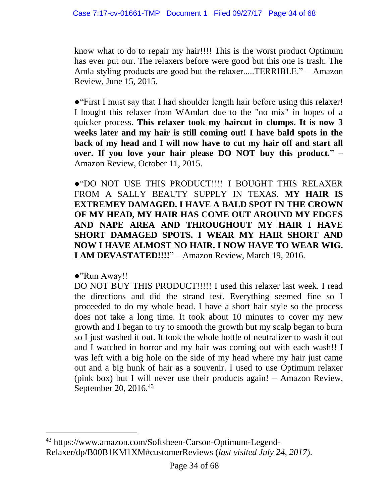know what to do to repair my hair!!!! This is the worst product Optimum has ever put our. The relaxers before were good but this one is trash. The Amla styling products are good but the relaxer.....TERRIBLE." – Amazon Review, June 15, 2015.

●"First I must say that I had shoulder length hair before using this relaxer! I bought this relaxer from WAmlart due to the "no mix" in hopes of a quicker process. **This relaxer took my haircut in clumps. It is now 3 weeks later and my hair is still coming out! I have bald spots in the back of my head and I will now have to cut my hair off and start all over. If you love your hair please DO NOT buy this product.**" – Amazon Review, October 11, 2015.

●"DO NOT USE THIS PRODUCT!!!! I BOUGHT THIS RELAXER FROM A SALLY BEAUTY SUPPLY IN TEXAS. **MY HAIR IS EXTREMEY DAMAGED. I HAVE A BALD SPOT IN THE CROWN OF MY HEAD, MY HAIR HAS COME OUT AROUND MY EDGES AND NAPE AREA AND THROUGHOUT MY HAIR I HAVE SHORT DAMAGED SPOTS. I WEAR MY HAIR SHORT AND NOW I HAVE ALMOST NO HAIR. I NOW HAVE TO WEAR WIG. I AM DEVASTATED!!!!**" – Amazon Review, March 19, 2016.

●"Run Away!!

 $\overline{a}$ 

DO NOT BUY THIS PRODUCT!!!!! I used this relaxer last week. I read the directions and did the strand test. Everything seemed fine so I proceeded to do my whole head. I have a short hair style so the process does not take a long time. It took about 10 minutes to cover my new growth and I began to try to smooth the growth but my scalp began to burn so I just washed it out. It took the whole bottle of neutralizer to wash it out and I watched in horror and my hair was coming out with each wash!! I was left with a big hole on the side of my head where my hair just came out and a big hunk of hair as a souvenir. I used to use Optimum relaxer (pink box) but I will never use their products again! – Amazon Review, September 20, 2016.<sup>43</sup>

<sup>43</sup> https://www.amazon.com/Softsheen-Carson-Optimum-Legend-Relaxer/dp/B00B1KM1XM#customerReviews (*last visited July 24, 2017*).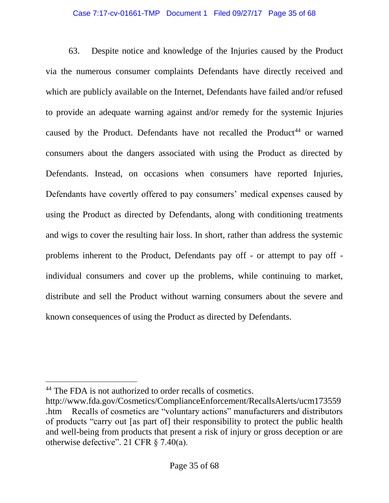### Case 7:17-cv-01661-TMP Document 1 Filed 09/27/17 Page 35 of 68

63. Despite notice and knowledge of the Injuries caused by the Product via the numerous consumer complaints Defendants have directly received and which are publicly available on the Internet, Defendants have failed and/or refused to provide an adequate warning against and/or remedy for the systemic Injuries caused by the Product. Defendants have not recalled the Product<sup>44</sup> or warned consumers about the dangers associated with using the Product as directed by Defendants. Instead, on occasions when consumers have reported Injuries, Defendants have covertly offered to pay consumers' medical expenses caused by using the Product as directed by Defendants, along with conditioning treatments and wigs to cover the resulting hair loss. In short, rather than address the systemic problems inherent to the Product, Defendants pay off - or attempt to pay off individual consumers and cover up the problems, while continuing to market, distribute and sell the Product without warning consumers about the severe and known consequences of using the Product as directed by Defendants.

<sup>44</sup> The FDA is not authorized to order recalls of cosmetics.

http://www.fda.gov/Cosmetics/ComplianceEnforcement/RecallsAlerts/ucm173559 .htm Recalls of cosmetics are "voluntary actions" manufacturers and distributors of products "carry out [as part of] their responsibility to protect the public health and well-being from products that present a risk of injury or gross deception or are otherwise defective". 21 CFR § 7.40(a).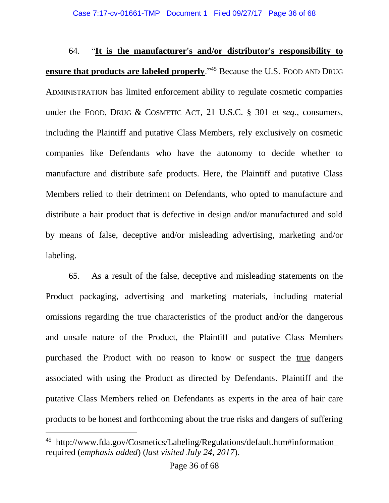64. "**It is the manufacturer's and/or distributor's responsibility to ensure that products are labeled properly**."<sup>45</sup> Because the U.S. FOOD AND DRUG ADMINISTRATION has limited enforcement ability to regulate cosmetic companies under the FOOD, DRUG & COSMETIC ACT, 21 U.S.C. § 301 *et seq.*, consumers, including the Plaintiff and putative Class Members, rely exclusively on cosmetic companies like Defendants who have the autonomy to decide whether to manufacture and distribute safe products. Here, the Plaintiff and putative Class Members relied to their detriment on Defendants, who opted to manufacture and distribute a hair product that is defective in design and/or manufactured and sold by means of false, deceptive and/or misleading advertising, marketing and/or labeling.

65. As a result of the false, deceptive and misleading statements on the Product packaging, advertising and marketing materials, including material omissions regarding the true characteristics of the product and/or the dangerous and unsafe nature of the Product, the Plaintiff and putative Class Members purchased the Product with no reason to know or suspect the true dangers associated with using the Product as directed by Defendants. Plaintiff and the putative Class Members relied on Defendants as experts in the area of hair care products to be honest and forthcoming about the true risks and dangers of suffering

<sup>45</sup> http://www.fda.gov/Cosmetics/Labeling/Regulations/default.htm#information\_ required (*emphasis added*) (*last visited July 24, 2017*).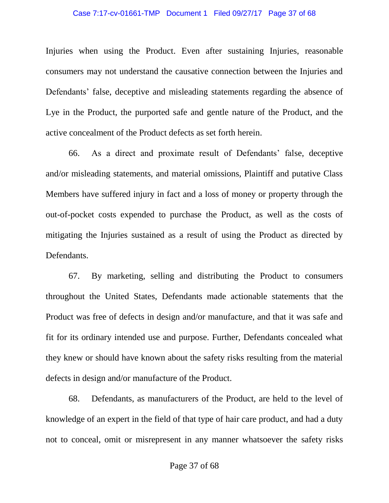#### Case 7:17-cv-01661-TMP Document 1 Filed 09/27/17 Page 37 of 68

Injuries when using the Product. Even after sustaining Injuries, reasonable consumers may not understand the causative connection between the Injuries and Defendants' false, deceptive and misleading statements regarding the absence of Lye in the Product, the purported safe and gentle nature of the Product, and the active concealment of the Product defects as set forth herein.

66. As a direct and proximate result of Defendants' false, deceptive and/or misleading statements, and material omissions, Plaintiff and putative Class Members have suffered injury in fact and a loss of money or property through the out-of-pocket costs expended to purchase the Product, as well as the costs of mitigating the Injuries sustained as a result of using the Product as directed by Defendants.

67. By marketing, selling and distributing the Product to consumers throughout the United States, Defendants made actionable statements that the Product was free of defects in design and/or manufacture, and that it was safe and fit for its ordinary intended use and purpose. Further, Defendants concealed what they knew or should have known about the safety risks resulting from the material defects in design and/or manufacture of the Product.

68. Defendants, as manufacturers of the Product, are held to the level of knowledge of an expert in the field of that type of hair care product, and had a duty not to conceal, omit or misrepresent in any manner whatsoever the safety risks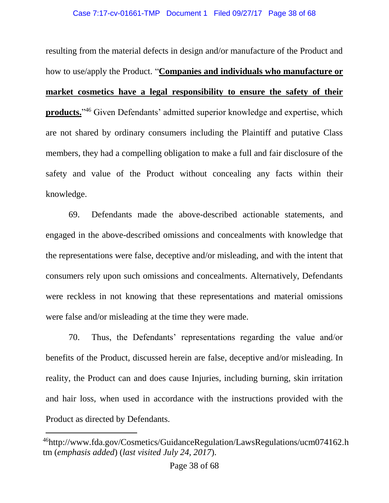resulting from the material defects in design and/or manufacture of the Product and how to use/apply the Product. "**Companies and individuals who manufacture or market cosmetics have a legal responsibility to ensure the safety of their products.**"<sup>46</sup> Given Defendants' admitted superior knowledge and expertise, which are not shared by ordinary consumers including the Plaintiff and putative Class members, they had a compelling obligation to make a full and fair disclosure of the safety and value of the Product without concealing any facts within their knowledge.

69. Defendants made the above-described actionable statements, and engaged in the above-described omissions and concealments with knowledge that the representations were false, deceptive and/or misleading, and with the intent that consumers rely upon such omissions and concealments. Alternatively, Defendants were reckless in not knowing that these representations and material omissions were false and/or misleading at the time they were made.

70. Thus, the Defendants' representations regarding the value and/or benefits of the Product, discussed herein are false, deceptive and/or misleading. In reality, the Product can and does cause Injuries, including burning, skin irritation and hair loss, when used in accordance with the instructions provided with the Product as directed by Defendants.

<sup>46</sup>http://www.fda.gov/Cosmetics/GuidanceRegulation/LawsRegulations/ucm074162.h tm (*emphasis added*) (*last visited July 24, 2017*).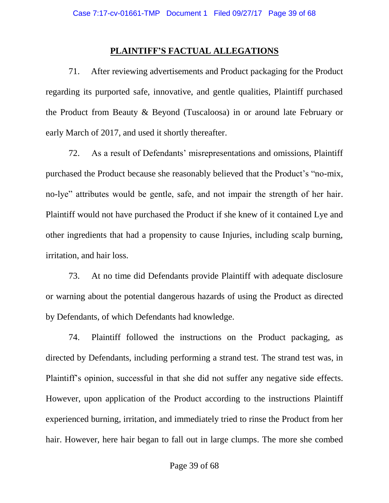### **PLAINTIFF'S FACTUAL ALLEGATIONS**

71. After reviewing advertisements and Product packaging for the Product regarding its purported safe, innovative, and gentle qualities, Plaintiff purchased the Product from Beauty & Beyond (Tuscaloosa) in or around late February or early March of 2017, and used it shortly thereafter.

72. As a result of Defendants' misrepresentations and omissions, Plaintiff purchased the Product because she reasonably believed that the Product's "no-mix, no-lye" attributes would be gentle, safe, and not impair the strength of her hair. Plaintiff would not have purchased the Product if she knew of it contained Lye and other ingredients that had a propensity to cause Injuries, including scalp burning, irritation, and hair loss.

73. At no time did Defendants provide Plaintiff with adequate disclosure or warning about the potential dangerous hazards of using the Product as directed by Defendants, of which Defendants had knowledge.

74. Plaintiff followed the instructions on the Product packaging, as directed by Defendants, including performing a strand test. The strand test was, in Plaintiff's opinion, successful in that she did not suffer any negative side effects. However, upon application of the Product according to the instructions Plaintiff experienced burning, irritation, and immediately tried to rinse the Product from her hair. However, here hair began to fall out in large clumps. The more she combed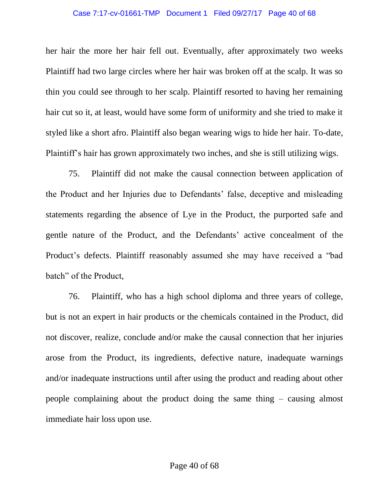#### Case 7:17-cv-01661-TMP Document 1 Filed 09/27/17 Page 40 of 68

her hair the more her hair fell out. Eventually, after approximately two weeks Plaintiff had two large circles where her hair was broken off at the scalp. It was so thin you could see through to her scalp. Plaintiff resorted to having her remaining hair cut so it, at least, would have some form of uniformity and she tried to make it styled like a short afro. Plaintiff also began wearing wigs to hide her hair. To-date, Plaintiff's hair has grown approximately two inches, and she is still utilizing wigs.

75. Plaintiff did not make the causal connection between application of the Product and her Injuries due to Defendants' false, deceptive and misleading statements regarding the absence of Lye in the Product, the purported safe and gentle nature of the Product, and the Defendants' active concealment of the Product's defects. Plaintiff reasonably assumed she may have received a "bad batch" of the Product,

76. Plaintiff, who has a high school diploma and three years of college, but is not an expert in hair products or the chemicals contained in the Product, did not discover, realize, conclude and/or make the causal connection that her injuries arose from the Product, its ingredients, defective nature, inadequate warnings and/or inadequate instructions until after using the product and reading about other people complaining about the product doing the same thing – causing almost immediate hair loss upon use.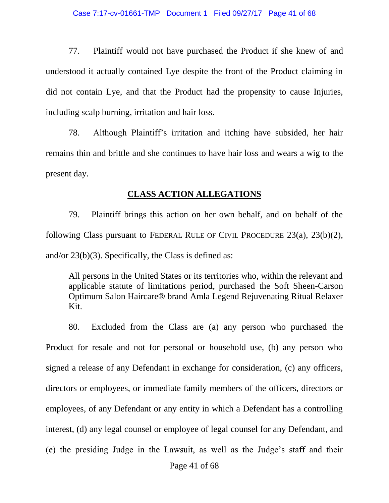#### Case 7:17-cv-01661-TMP Document 1 Filed 09/27/17 Page 41 of 68

77. Plaintiff would not have purchased the Product if she knew of and understood it actually contained Lye despite the front of the Product claiming in did not contain Lye, and that the Product had the propensity to cause Injuries, including scalp burning, irritation and hair loss.

78. Although Plaintiff's irritation and itching have subsided, her hair remains thin and brittle and she continues to have hair loss and wears a wig to the present day.

#### **CLASS ACTION ALLEGATIONS**

79. Plaintiff brings this action on her own behalf, and on behalf of the following Class pursuant to FEDERAL RULE OF CIVIL PROCEDURE 23(a), 23(b)(2), and/or 23(b)(3). Specifically, the Class is defined as:

All persons in the United States or its territories who, within the relevant and applicable statute of limitations period, purchased the Soft Sheen-Carson Optimum Salon Haircare® brand Amla Legend Rejuvenating Ritual Relaxer Kit.

80. Excluded from the Class are (a) any person who purchased the Product for resale and not for personal or household use, (b) any person who signed a release of any Defendant in exchange for consideration, (c) any officers, directors or employees, or immediate family members of the officers, directors or employees, of any Defendant or any entity in which a Defendant has a controlling interest, (d) any legal counsel or employee of legal counsel for any Defendant, and (e) the presiding Judge in the Lawsuit, as well as the Judge's staff and their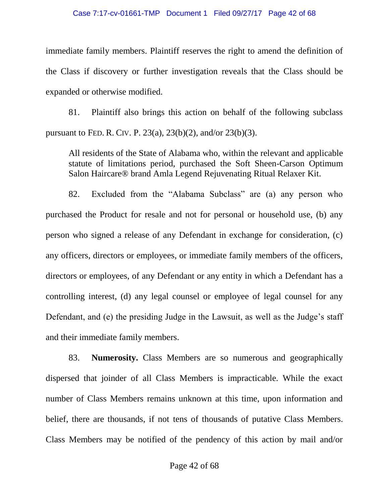#### Case 7:17-cv-01661-TMP Document 1 Filed 09/27/17 Page 42 of 68

immediate family members. Plaintiff reserves the right to amend the definition of the Class if discovery or further investigation reveals that the Class should be expanded or otherwise modified.

81. Plaintiff also brings this action on behalf of the following subclass pursuant to FED. R. CIV. P. 23(a), 23(b)(2), and/or 23(b)(3).

All residents of the State of Alabama who, within the relevant and applicable statute of limitations period, purchased the Soft Sheen-Carson Optimum Salon Haircare® brand Amla Legend Rejuvenating Ritual Relaxer Kit.

82. Excluded from the "Alabama Subclass" are (a) any person who purchased the Product for resale and not for personal or household use, (b) any person who signed a release of any Defendant in exchange for consideration, (c) any officers, directors or employees, or immediate family members of the officers, directors or employees, of any Defendant or any entity in which a Defendant has a controlling interest, (d) any legal counsel or employee of legal counsel for any Defendant, and (e) the presiding Judge in the Lawsuit, as well as the Judge's staff and their immediate family members.

83. **Numerosity.** Class Members are so numerous and geographically dispersed that joinder of all Class Members is impracticable. While the exact number of Class Members remains unknown at this time, upon information and belief, there are thousands, if not tens of thousands of putative Class Members. Class Members may be notified of the pendency of this action by mail and/or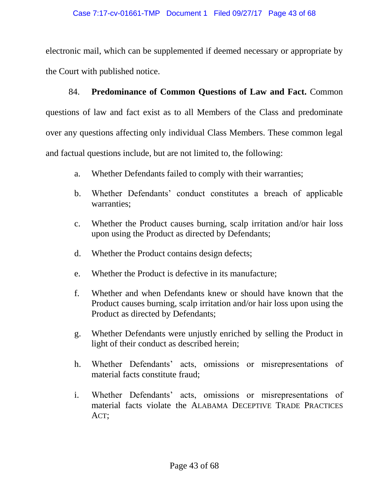electronic mail, which can be supplemented if deemed necessary or appropriate by the Court with published notice.

84. **Predominance of Common Questions of Law and Fact.** Common questions of law and fact exist as to all Members of the Class and predominate over any questions affecting only individual Class Members. These common legal and factual questions include, but are not limited to, the following:

- a. Whether Defendants failed to comply with their warranties;
- b. Whether Defendants' conduct constitutes a breach of applicable warranties;
- c. Whether the Product causes burning, scalp irritation and/or hair loss upon using the Product as directed by Defendants;
- d. Whether the Product contains design defects;
- e. Whether the Product is defective in its manufacture;
- f. Whether and when Defendants knew or should have known that the Product causes burning, scalp irritation and/or hair loss upon using the Product as directed by Defendants;
- g. Whether Defendants were unjustly enriched by selling the Product in light of their conduct as described herein;
- h. Whether Defendants' acts, omissions or misrepresentations of material facts constitute fraud;
- i. Whether Defendants' acts, omissions or misrepresentations of material facts violate the ALABAMA DECEPTIVE TRADE PRACTICES ACT;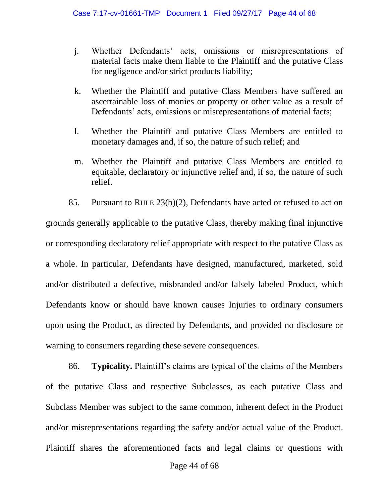- j. Whether Defendants' acts, omissions or misrepresentations of material facts make them liable to the Plaintiff and the putative Class for negligence and/or strict products liability;
- k. Whether the Plaintiff and putative Class Members have suffered an ascertainable loss of monies or property or other value as a result of Defendants' acts, omissions or misrepresentations of material facts;
- l. Whether the Plaintiff and putative Class Members are entitled to monetary damages and, if so, the nature of such relief; and
- m. Whether the Plaintiff and putative Class Members are entitled to equitable, declaratory or injunctive relief and, if so, the nature of such relief.

85. Pursuant to RULE 23(b)(2), Defendants have acted or refused to act on grounds generally applicable to the putative Class, thereby making final injunctive or corresponding declaratory relief appropriate with respect to the putative Class as a whole. In particular, Defendants have designed, manufactured, marketed, sold and/or distributed a defective, misbranded and/or falsely labeled Product, which Defendants know or should have known causes Injuries to ordinary consumers upon using the Product, as directed by Defendants, and provided no disclosure or warning to consumers regarding these severe consequences.

86. **Typicality.** Plaintiff's claims are typical of the claims of the Members of the putative Class and respective Subclasses, as each putative Class and Subclass Member was subject to the same common, inherent defect in the Product and/or misrepresentations regarding the safety and/or actual value of the Product. Plaintiff shares the aforementioned facts and legal claims or questions with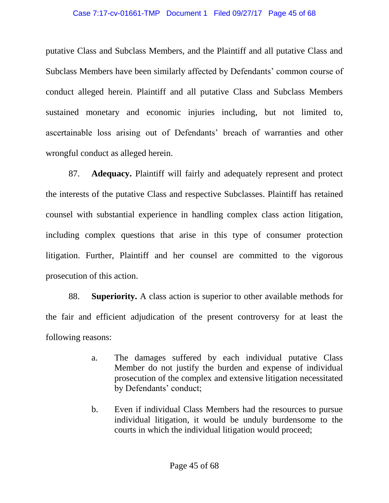#### Case 7:17-cv-01661-TMP Document 1 Filed 09/27/17 Page 45 of 68

putative Class and Subclass Members, and the Plaintiff and all putative Class and Subclass Members have been similarly affected by Defendants' common course of conduct alleged herein. Plaintiff and all putative Class and Subclass Members sustained monetary and economic injuries including, but not limited to, ascertainable loss arising out of Defendants' breach of warranties and other wrongful conduct as alleged herein.

87. **Adequacy.** Plaintiff will fairly and adequately represent and protect the interests of the putative Class and respective Subclasses. Plaintiff has retained counsel with substantial experience in handling complex class action litigation, including complex questions that arise in this type of consumer protection litigation. Further, Plaintiff and her counsel are committed to the vigorous prosecution of this action.

88. **Superiority.** A class action is superior to other available methods for the fair and efficient adjudication of the present controversy for at least the following reasons:

- a. The damages suffered by each individual putative Class Member do not justify the burden and expense of individual prosecution of the complex and extensive litigation necessitated by Defendants' conduct;
- b. Even if individual Class Members had the resources to pursue individual litigation, it would be unduly burdensome to the courts in which the individual litigation would proceed;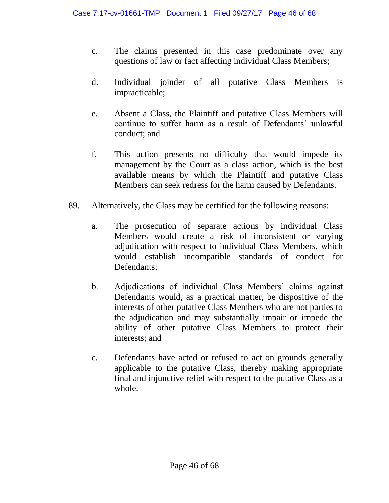- c. The claims presented in this case predominate over any questions of law or fact affecting individual Class Members;
- d. Individual joinder of all putative Class Members is impracticable;
- e. Absent a Class, the Plaintiff and putative Class Members will continue to suffer harm as a result of Defendants' unlawful conduct; and
- f. This action presents no difficulty that would impede its management by the Court as a class action, which is the best available means by which the Plaintiff and putative Class Members can seek redress for the harm caused by Defendants.
- 89. Alternatively, the Class may be certified for the following reasons:
	- a. The prosecution of separate actions by individual Class Members would create a risk of inconsistent or varying adjudication with respect to individual Class Members, which would establish incompatible standards of conduct for Defendants;
	- b. Adjudications of individual Class Members' claims against Defendants would, as a practical matter, be dispositive of the interests of other putative Class Members who are not parties to the adjudication and may substantially impair or impede the ability of other putative Class Members to protect their interests; and
	- c. Defendants have acted or refused to act on grounds generally applicable to the putative Class, thereby making appropriate final and injunctive relief with respect to the putative Class as a whole.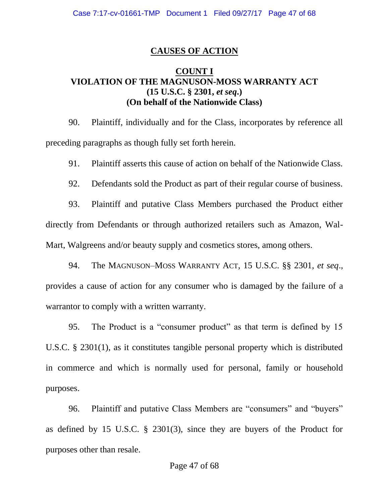### **CAUSES OF ACTION**

## **COUNT I VIOLATION OF THE MAGNUSON-MOSS WARRANTY ACT (15 U.S.C. § 2301,** *et seq***.) (On behalf of the Nationwide Class)**

90. Plaintiff, individually and for the Class, incorporates by reference all preceding paragraphs as though fully set forth herein.

91. Plaintiff asserts this cause of action on behalf of the Nationwide Class.

92. Defendants sold the Product as part of their regular course of business.

93. Plaintiff and putative Class Members purchased the Product either directly from Defendants or through authorized retailers such as Amazon, Wal-Mart, Walgreens and/or beauty supply and cosmetics stores, among others.

94. The MAGNUSON–MOSS WARRANTY ACT, 15 U.S.C. §§ 2301, *et seq*., provides a cause of action for any consumer who is damaged by the failure of a warrantor to comply with a written warranty.

95. The Product is a "consumer product" as that term is defined by 15 U.S.C. § 2301(1), as it constitutes tangible personal property which is distributed in commerce and which is normally used for personal, family or household purposes.

96. Plaintiff and putative Class Members are "consumers" and "buyers" as defined by 15 U.S.C. § 2301(3), since they are buyers of the Product for purposes other than resale.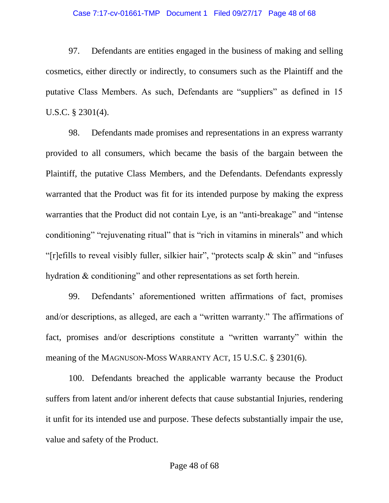### Case 7:17-cv-01661-TMP Document 1 Filed 09/27/17 Page 48 of 68

97. Defendants are entities engaged in the business of making and selling cosmetics, either directly or indirectly, to consumers such as the Plaintiff and the putative Class Members. As such, Defendants are "suppliers" as defined in 15 U.S.C. § 2301(4).

98. Defendants made promises and representations in an express warranty provided to all consumers, which became the basis of the bargain between the Plaintiff, the putative Class Members, and the Defendants. Defendants expressly warranted that the Product was fit for its intended purpose by making the express warranties that the Product did not contain Lye, is an "anti-breakage" and "intense conditioning" "rejuvenating ritual" that is "rich in vitamins in minerals" and which "[r]efills to reveal visibly fuller, silkier hair", "protects scalp & skin" and "infuses hydration & conditioning" and other representations as set forth herein.

99. Defendants' aforementioned written affirmations of fact, promises and/or descriptions, as alleged, are each a "written warranty." The affirmations of fact, promises and/or descriptions constitute a "written warranty" within the meaning of the MAGNUSON-MOSS WARRANTY ACT, 15 U.S.C. § 2301(6).

100. Defendants breached the applicable warranty because the Product suffers from latent and/or inherent defects that cause substantial Injuries, rendering it unfit for its intended use and purpose. These defects substantially impair the use, value and safety of the Product.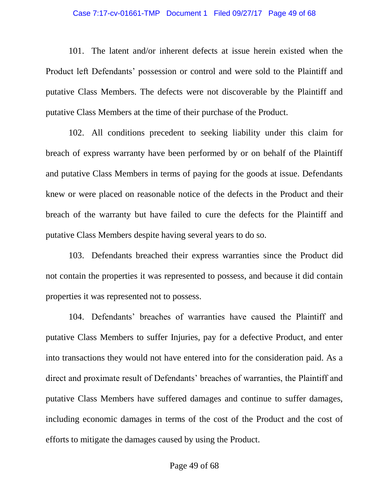#### Case 7:17-cv-01661-TMP Document 1 Filed 09/27/17 Page 49 of 68

101. The latent and/or inherent defects at issue herein existed when the Product left Defendants' possession or control and were sold to the Plaintiff and putative Class Members. The defects were not discoverable by the Plaintiff and putative Class Members at the time of their purchase of the Product.

102. All conditions precedent to seeking liability under this claim for breach of express warranty have been performed by or on behalf of the Plaintiff and putative Class Members in terms of paying for the goods at issue. Defendants knew or were placed on reasonable notice of the defects in the Product and their breach of the warranty but have failed to cure the defects for the Plaintiff and putative Class Members despite having several years to do so.

103. Defendants breached their express warranties since the Product did not contain the properties it was represented to possess, and because it did contain properties it was represented not to possess.

104. Defendants' breaches of warranties have caused the Plaintiff and putative Class Members to suffer Injuries, pay for a defective Product, and enter into transactions they would not have entered into for the consideration paid. As a direct and proximate result of Defendants' breaches of warranties, the Plaintiff and putative Class Members have suffered damages and continue to suffer damages, including economic damages in terms of the cost of the Product and the cost of efforts to mitigate the damages caused by using the Product.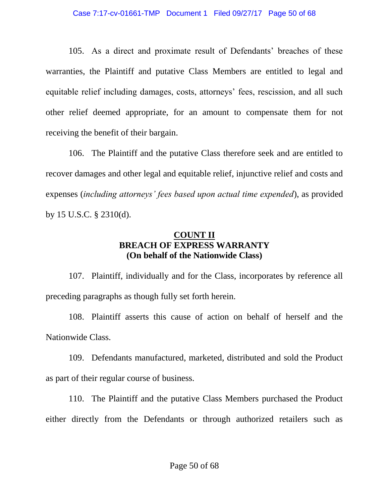105. As a direct and proximate result of Defendants' breaches of these warranties, the Plaintiff and putative Class Members are entitled to legal and equitable relief including damages, costs, attorneys' fees, rescission, and all such other relief deemed appropriate, for an amount to compensate them for not receiving the benefit of their bargain.

106. The Plaintiff and the putative Class therefore seek and are entitled to recover damages and other legal and equitable relief, injunctive relief and costs and expenses (*including attorneys' fees based upon actual time expended*), as provided by 15 U.S.C. § 2310(d).

## **COUNT II BREACH OF EXPRESS WARRANTY (On behalf of the Nationwide Class)**

107. Plaintiff, individually and for the Class, incorporates by reference all preceding paragraphs as though fully set forth herein.

108. Plaintiff asserts this cause of action on behalf of herself and the Nationwide Class.

109. Defendants manufactured, marketed, distributed and sold the Product as part of their regular course of business.

110. The Plaintiff and the putative Class Members purchased the Product either directly from the Defendants or through authorized retailers such as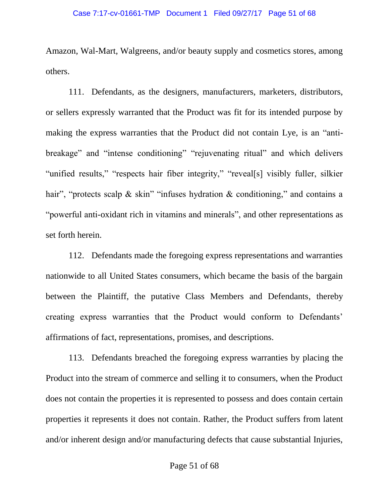Amazon, Wal-Mart, Walgreens, and/or beauty supply and cosmetics stores, among others.

111. Defendants, as the designers, manufacturers, marketers, distributors, or sellers expressly warranted that the Product was fit for its intended purpose by making the express warranties that the Product did not contain Lye, is an "antibreakage" and "intense conditioning" "rejuvenating ritual" and which delivers "unified results," "respects hair fiber integrity," "reveal[s] visibly fuller, silkier hair", "protects scalp & skin" "infuses hydration & conditioning," and contains a "powerful anti-oxidant rich in vitamins and minerals", and other representations as set forth herein.

112. Defendants made the foregoing express representations and warranties nationwide to all United States consumers, which became the basis of the bargain between the Plaintiff, the putative Class Members and Defendants, thereby creating express warranties that the Product would conform to Defendants' affirmations of fact, representations, promises, and descriptions.

113. Defendants breached the foregoing express warranties by placing the Product into the stream of commerce and selling it to consumers, when the Product does not contain the properties it is represented to possess and does contain certain properties it represents it does not contain. Rather, the Product suffers from latent and/or inherent design and/or manufacturing defects that cause substantial Injuries,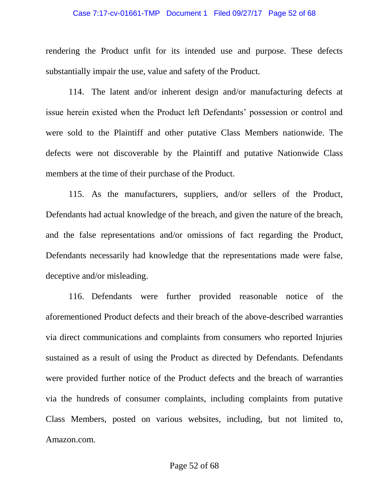#### Case 7:17-cv-01661-TMP Document 1 Filed 09/27/17 Page 52 of 68

rendering the Product unfit for its intended use and purpose. These defects substantially impair the use, value and safety of the Product.

114. The latent and/or inherent design and/or manufacturing defects at issue herein existed when the Product left Defendants' possession or control and were sold to the Plaintiff and other putative Class Members nationwide. The defects were not discoverable by the Plaintiff and putative Nationwide Class members at the time of their purchase of the Product.

115. As the manufacturers, suppliers, and/or sellers of the Product, Defendants had actual knowledge of the breach, and given the nature of the breach, and the false representations and/or omissions of fact regarding the Product, Defendants necessarily had knowledge that the representations made were false, deceptive and/or misleading.

116. Defendants were further provided reasonable notice of the aforementioned Product defects and their breach of the above-described warranties via direct communications and complaints from consumers who reported Injuries sustained as a result of using the Product as directed by Defendants. Defendants were provided further notice of the Product defects and the breach of warranties via the hundreds of consumer complaints, including complaints from putative Class Members, posted on various websites, including, but not limited to, Amazon.com.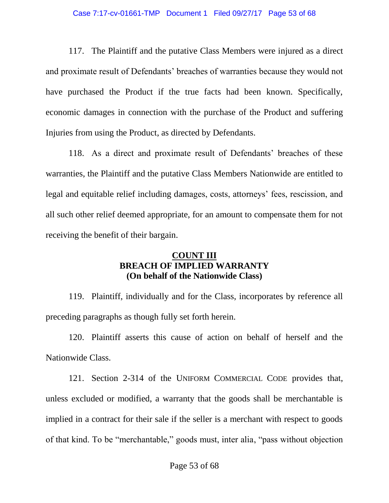#### Case 7:17-cv-01661-TMP Document 1 Filed 09/27/17 Page 53 of 68

117. The Plaintiff and the putative Class Members were injured as a direct and proximate result of Defendants' breaches of warranties because they would not have purchased the Product if the true facts had been known. Specifically, economic damages in connection with the purchase of the Product and suffering Injuries from using the Product, as directed by Defendants.

118. As a direct and proximate result of Defendants' breaches of these warranties, the Plaintiff and the putative Class Members Nationwide are entitled to legal and equitable relief including damages, costs, attorneys' fees, rescission, and all such other relief deemed appropriate, for an amount to compensate them for not receiving the benefit of their bargain.

## **COUNT III BREACH OF IMPLIED WARRANTY (On behalf of the Nationwide Class)**

119. Plaintiff, individually and for the Class, incorporates by reference all preceding paragraphs as though fully set forth herein.

120. Plaintiff asserts this cause of action on behalf of herself and the Nationwide Class.

121. Section 2-314 of the UNIFORM COMMERCIAL CODE provides that, unless excluded or modified, a warranty that the goods shall be merchantable is implied in a contract for their sale if the seller is a merchant with respect to goods of that kind. To be "merchantable," goods must, inter alia, "pass without objection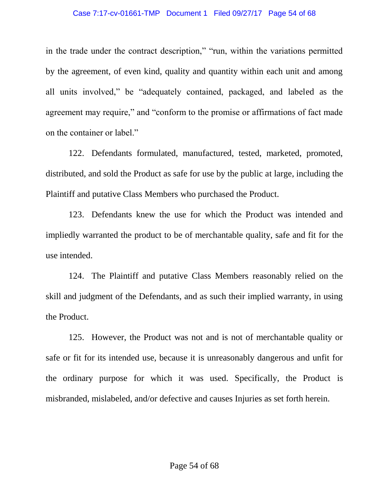#### Case 7:17-cv-01661-TMP Document 1 Filed 09/27/17 Page 54 of 68

in the trade under the contract description," "run, within the variations permitted by the agreement, of even kind, quality and quantity within each unit and among all units involved," be "adequately contained, packaged, and labeled as the agreement may require," and "conform to the promise or affirmations of fact made on the container or label."

122. Defendants formulated, manufactured, tested, marketed, promoted, distributed, and sold the Product as safe for use by the public at large, including the Plaintiff and putative Class Members who purchased the Product.

123. Defendants knew the use for which the Product was intended and impliedly warranted the product to be of merchantable quality, safe and fit for the use intended.

124. The Plaintiff and putative Class Members reasonably relied on the skill and judgment of the Defendants, and as such their implied warranty, in using the Product.

125. However, the Product was not and is not of merchantable quality or safe or fit for its intended use, because it is unreasonably dangerous and unfit for the ordinary purpose for which it was used. Specifically, the Product is misbranded, mislabeled, and/or defective and causes Injuries as set forth herein.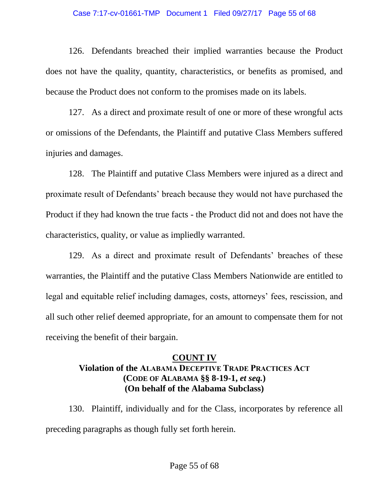#### Case 7:17-cv-01661-TMP Document 1 Filed 09/27/17 Page 55 of 68

126. Defendants breached their implied warranties because the Product does not have the quality, quantity, characteristics, or benefits as promised, and because the Product does not conform to the promises made on its labels.

127. As a direct and proximate result of one or more of these wrongful acts or omissions of the Defendants, the Plaintiff and putative Class Members suffered injuries and damages.

128. The Plaintiff and putative Class Members were injured as a direct and proximate result of Defendants' breach because they would not have purchased the Product if they had known the true facts - the Product did not and does not have the characteristics, quality, or value as impliedly warranted.

129. As a direct and proximate result of Defendants' breaches of these warranties, the Plaintiff and the putative Class Members Nationwide are entitled to legal and equitable relief including damages, costs, attorneys' fees, rescission, and all such other relief deemed appropriate, for an amount to compensate them for not receiving the benefit of their bargain.

## **COUNT IV Violation of the ALABAMA DECEPTIVE TRADE PRACTICES ACT (CODE OF ALABAMA §§ 8-19-1,** *et seq.***) (On behalf of the Alabama Subclass)**

130. Plaintiff, individually and for the Class, incorporates by reference all preceding paragraphs as though fully set forth herein.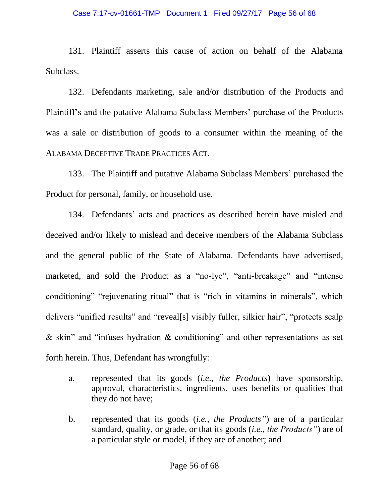#### Case 7:17-cv-01661-TMP Document 1 Filed 09/27/17 Page 56 of 68

131. Plaintiff asserts this cause of action on behalf of the Alabama Subclass.

132. Defendants marketing, sale and/or distribution of the Products and Plaintiff's and the putative Alabama Subclass Members' purchase of the Products was a sale or distribution of goods to a consumer within the meaning of the ALABAMA DECEPTIVE TRADE PRACTICES ACT.

133. The Plaintiff and putative Alabama Subclass Members' purchased the Product for personal, family, or household use.

134. Defendants' acts and practices as described herein have misled and deceived and/or likely to mislead and deceive members of the Alabama Subclass and the general public of the State of Alabama. Defendants have advertised, marketed, and sold the Product as a "no-lye", "anti-breakage" and "intense conditioning" "rejuvenating ritual" that is "rich in vitamins in minerals", which delivers "unified results" and "reveal[s] visibly fuller, silkier hair", "protects scalp & skin" and "infuses hydration & conditioning" and other representations as set forth herein. Thus, Defendant has wrongfully:

- a. represented that its goods (*i.e., the Products*) have sponsorship, approval, characteristics, ingredients, uses benefits or qualities that they do not have;
- b. represented that its goods (*i.e., the Products"*) are of a particular standard, quality, or grade, or that its goods (*i.e., the Products"*) are of a particular style or model, if they are of another; and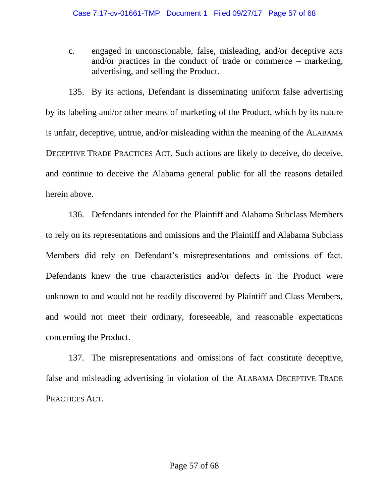c. engaged in unconscionable, false, misleading, and/or deceptive acts and/or practices in the conduct of trade or commerce – marketing, advertising, and selling the Product.

135. By its actions, Defendant is disseminating uniform false advertising by its labeling and/or other means of marketing of the Product, which by its nature is unfair, deceptive, untrue, and/or misleading within the meaning of the ALABAMA DECEPTIVE TRADE PRACTICES ACT. Such actions are likely to deceive, do deceive, and continue to deceive the Alabama general public for all the reasons detailed herein above.

136. Defendants intended for the Plaintiff and Alabama Subclass Members to rely on its representations and omissions and the Plaintiff and Alabama Subclass Members did rely on Defendant's misrepresentations and omissions of fact. Defendants knew the true characteristics and/or defects in the Product were unknown to and would not be readily discovered by Plaintiff and Class Members, and would not meet their ordinary, foreseeable, and reasonable expectations concerning the Product.

137. The misrepresentations and omissions of fact constitute deceptive, false and misleading advertising in violation of the ALABAMA DECEPTIVE TRADE PRACTICES ACT.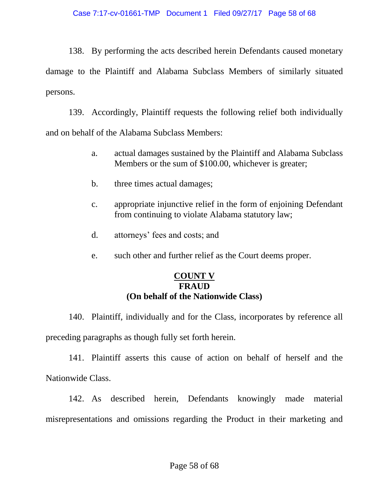138. By performing the acts described herein Defendants caused monetary damage to the Plaintiff and Alabama Subclass Members of similarly situated persons.

139. Accordingly, Plaintiff requests the following relief both individually and on behalf of the Alabama Subclass Members:

- a. actual damages sustained by the Plaintiff and Alabama Subclass Members or the sum of \$100.00, whichever is greater;
- b. three times actual damages;
- c. appropriate injunctive relief in the form of enjoining Defendant from continuing to violate Alabama statutory law;
- d. attorneys' fees and costs; and
- e. such other and further relief as the Court deems proper.

### **COUNT V FRAUD (On behalf of the Nationwide Class)**

140. Plaintiff, individually and for the Class, incorporates by reference all preceding paragraphs as though fully set forth herein.

141. Plaintiff asserts this cause of action on behalf of herself and the Nationwide Class.

142. As described herein, Defendants knowingly made material misrepresentations and omissions regarding the Product in their marketing and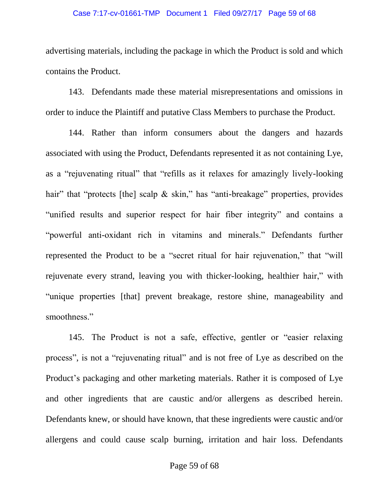### Case 7:17-cv-01661-TMP Document 1 Filed 09/27/17 Page 59 of 68

advertising materials, including the package in which the Product is sold and which contains the Product.

143. Defendants made these material misrepresentations and omissions in order to induce the Plaintiff and putative Class Members to purchase the Product.

144. Rather than inform consumers about the dangers and hazards associated with using the Product, Defendants represented it as not containing Lye, as a "rejuvenating ritual" that "refills as it relaxes for amazingly lively-looking hair" that "protects [the] scalp & skin," has "anti-breakage" properties, provides "unified results and superior respect for hair fiber integrity" and contains a "powerful anti-oxidant rich in vitamins and minerals." Defendants further represented the Product to be a "secret ritual for hair rejuvenation," that "will rejuvenate every strand, leaving you with thicker-looking, healthier hair," with "unique properties [that] prevent breakage, restore shine, manageability and smoothness."

145. The Product is not a safe, effective, gentler or "easier relaxing process", is not a "rejuvenating ritual" and is not free of Lye as described on the Product's packaging and other marketing materials. Rather it is composed of Lye and other ingredients that are caustic and/or allergens as described herein. Defendants knew, or should have known, that these ingredients were caustic and/or allergens and could cause scalp burning, irritation and hair loss. Defendants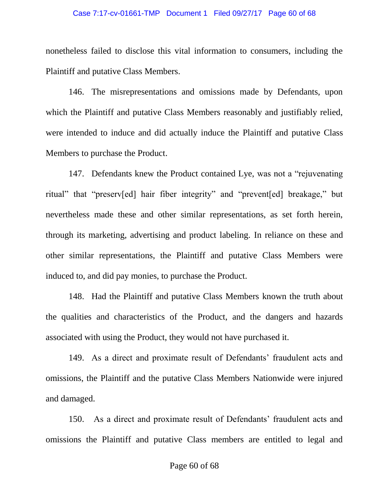#### Case 7:17-cv-01661-TMP Document 1 Filed 09/27/17 Page 60 of 68

nonetheless failed to disclose this vital information to consumers, including the Plaintiff and putative Class Members.

146. The misrepresentations and omissions made by Defendants, upon which the Plaintiff and putative Class Members reasonably and justifiably relied, were intended to induce and did actually induce the Plaintiff and putative Class Members to purchase the Product.

147. Defendants knew the Product contained Lye, was not a "rejuvenating ritual" that "preserv[ed] hair fiber integrity" and "prevent[ed] breakage," but nevertheless made these and other similar representations, as set forth herein, through its marketing, advertising and product labeling. In reliance on these and other similar representations, the Plaintiff and putative Class Members were induced to, and did pay monies, to purchase the Product.

148. Had the Plaintiff and putative Class Members known the truth about the qualities and characteristics of the Product, and the dangers and hazards associated with using the Product, they would not have purchased it.

149. As a direct and proximate result of Defendants' fraudulent acts and omissions, the Plaintiff and the putative Class Members Nationwide were injured and damaged.

150. As a direct and proximate result of Defendants' fraudulent acts and omissions the Plaintiff and putative Class members are entitled to legal and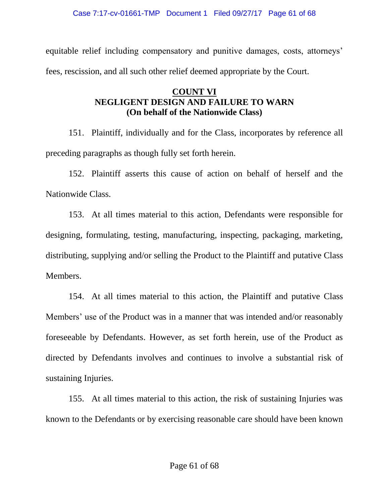equitable relief including compensatory and punitive damages, costs, attorneys' fees, rescission, and all such other relief deemed appropriate by the Court.

## **COUNT VI NEGLIGENT DESIGN AND FAILURE TO WARN (On behalf of the Nationwide Class)**

151. Plaintiff, individually and for the Class, incorporates by reference all preceding paragraphs as though fully set forth herein.

152. Plaintiff asserts this cause of action on behalf of herself and the Nationwide Class.

153. At all times material to this action, Defendants were responsible for designing, formulating, testing, manufacturing, inspecting, packaging, marketing, distributing, supplying and/or selling the Product to the Plaintiff and putative Class Members.

154. At all times material to this action, the Plaintiff and putative Class Members' use of the Product was in a manner that was intended and/or reasonably foreseeable by Defendants. However, as set forth herein, use of the Product as directed by Defendants involves and continues to involve a substantial risk of sustaining Injuries.

155. At all times material to this action, the risk of sustaining Injuries was known to the Defendants or by exercising reasonable care should have been known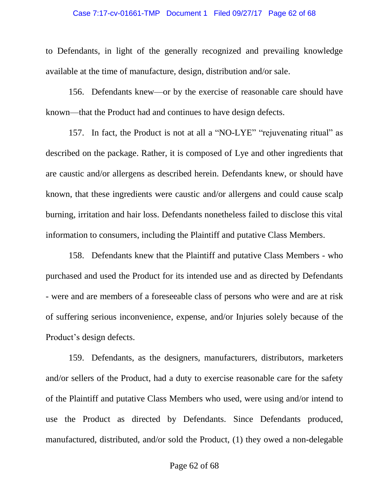#### Case 7:17-cv-01661-TMP Document 1 Filed 09/27/17 Page 62 of 68

to Defendants, in light of the generally recognized and prevailing knowledge available at the time of manufacture, design, distribution and/or sale.

156. Defendants knew—or by the exercise of reasonable care should have known—that the Product had and continues to have design defects.

157. In fact, the Product is not at all a "NO-LYE" "rejuvenating ritual" as described on the package. Rather, it is composed of Lye and other ingredients that are caustic and/or allergens as described herein. Defendants knew, or should have known, that these ingredients were caustic and/or allergens and could cause scalp burning, irritation and hair loss. Defendants nonetheless failed to disclose this vital information to consumers, including the Plaintiff and putative Class Members.

158. Defendants knew that the Plaintiff and putative Class Members - who purchased and used the Product for its intended use and as directed by Defendants - were and are members of a foreseeable class of persons who were and are at risk of suffering serious inconvenience, expense, and/or Injuries solely because of the Product's design defects.

159. Defendants, as the designers, manufacturers, distributors, marketers and/or sellers of the Product, had a duty to exercise reasonable care for the safety of the Plaintiff and putative Class Members who used, were using and/or intend to use the Product as directed by Defendants. Since Defendants produced, manufactured, distributed, and/or sold the Product, (1) they owed a non-delegable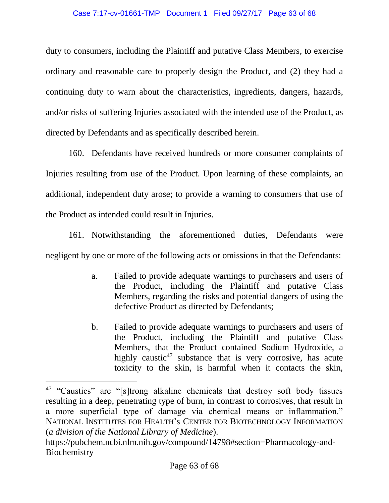#### Case 7:17-cv-01661-TMP Document 1 Filed 09/27/17 Page 63 of 68

duty to consumers, including the Plaintiff and putative Class Members, to exercise ordinary and reasonable care to properly design the Product, and (2) they had a continuing duty to warn about the characteristics, ingredients, dangers, hazards, and/or risks of suffering Injuries associated with the intended use of the Product, as directed by Defendants and as specifically described herein.

160. Defendants have received hundreds or more consumer complaints of Injuries resulting from use of the Product. Upon learning of these complaints, an additional, independent duty arose; to provide a warning to consumers that use of the Product as intended could result in Injuries.

161. Notwithstanding the aforementioned duties, Defendants were negligent by one or more of the following acts or omissions in that the Defendants:

- a. Failed to provide adequate warnings to purchasers and users of the Product, including the Plaintiff and putative Class Members, regarding the risks and potential dangers of using the defective Product as directed by Defendants;
- b. Failed to provide adequate warnings to purchasers and users of the Product, including the Plaintiff and putative Class Members, that the Product contained Sodium Hydroxide, a highly caustic<sup>47</sup> substance that is very corrosive, has acute toxicity to the skin, is harmful when it contacts the skin,

<sup>&</sup>lt;sup>47</sup> "Caustics" are "[s]trong alkaline chemicals that destroy soft body tissues resulting in a deep, penetrating type of burn, in contrast to corrosives, that result in a more superficial type of damage via chemical means or inflammation." NATIONAL INSTITUTES FOR HEALTH's CENTER FOR BIOTECHNOLOGY INFORMATION (*a division of the National Library of Medicine*).

https://pubchem.ncbi.nlm.nih.gov/compound/14798#section=Pharmacology-and-**Biochemistry**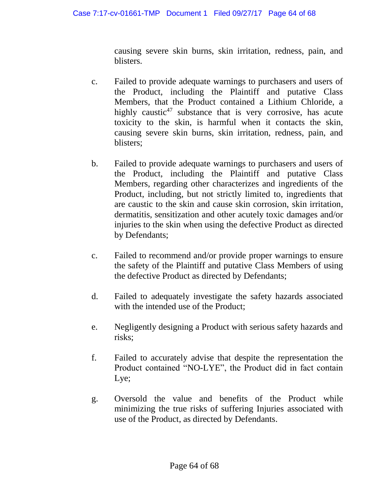causing severe skin burns, skin irritation, redness, pain, and blisters.

- c. Failed to provide adequate warnings to purchasers and users of the Product, including the Plaintiff and putative Class Members, that the Product contained a Lithium Chloride, a highly caustic<sup>47</sup> substance that is very corrosive, has acute toxicity to the skin, is harmful when it contacts the skin, causing severe skin burns, skin irritation, redness, pain, and blisters;
- b. Failed to provide adequate warnings to purchasers and users of the Product, including the Plaintiff and putative Class Members, regarding other characterizes and ingredients of the Product, including, but not strictly limited to, ingredients that are caustic to the skin and cause skin corrosion, skin irritation, dermatitis, sensitization and other acutely toxic damages and/or injuries to the skin when using the defective Product as directed by Defendants;
- c. Failed to recommend and/or provide proper warnings to ensure the safety of the Plaintiff and putative Class Members of using the defective Product as directed by Defendants;
- d. Failed to adequately investigate the safety hazards associated with the intended use of the Product;
- e. Negligently designing a Product with serious safety hazards and risks;
- f. Failed to accurately advise that despite the representation the Product contained "NO-LYE", the Product did in fact contain Lye;
- g. Oversold the value and benefits of the Product while minimizing the true risks of suffering Injuries associated with use of the Product, as directed by Defendants.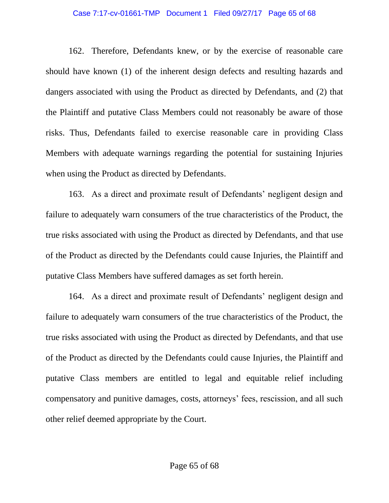#### Case 7:17-cv-01661-TMP Document 1 Filed 09/27/17 Page 65 of 68

162. Therefore, Defendants knew, or by the exercise of reasonable care should have known (1) of the inherent design defects and resulting hazards and dangers associated with using the Product as directed by Defendants, and (2) that the Plaintiff and putative Class Members could not reasonably be aware of those risks. Thus, Defendants failed to exercise reasonable care in providing Class Members with adequate warnings regarding the potential for sustaining Injuries when using the Product as directed by Defendants.

163. As a direct and proximate result of Defendants' negligent design and failure to adequately warn consumers of the true characteristics of the Product, the true risks associated with using the Product as directed by Defendants, and that use of the Product as directed by the Defendants could cause Injuries, the Plaintiff and putative Class Members have suffered damages as set forth herein.

164. As a direct and proximate result of Defendants' negligent design and failure to adequately warn consumers of the true characteristics of the Product, the true risks associated with using the Product as directed by Defendants, and that use of the Product as directed by the Defendants could cause Injuries, the Plaintiff and putative Class members are entitled to legal and equitable relief including compensatory and punitive damages, costs, attorneys' fees, rescission, and all such other relief deemed appropriate by the Court.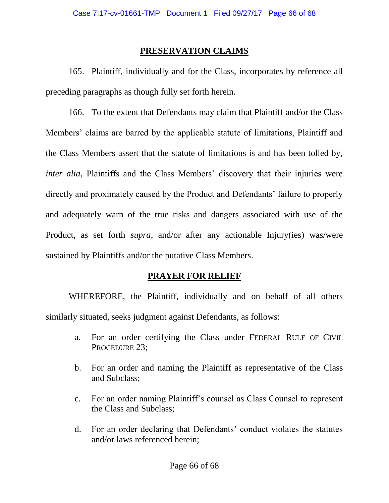### **PRESERVATION CLAIMS**

165. Plaintiff, individually and for the Class, incorporates by reference all preceding paragraphs as though fully set forth herein.

166. To the extent that Defendants may claim that Plaintiff and/or the Class Members' claims are barred by the applicable statute of limitations, Plaintiff and the Class Members assert that the statute of limitations is and has been tolled by, *inter alia*, Plaintiffs and the Class Members' discovery that their injuries were directly and proximately caused by the Product and Defendants' failure to properly and adequately warn of the true risks and dangers associated with use of the Product, as set forth *supra*, and/or after any actionable Injury(ies) was/were sustained by Plaintiffs and/or the putative Class Members.

### **PRAYER FOR RELIEF**

WHEREFORE, the Plaintiff, individually and on behalf of all others similarly situated, seeks judgment against Defendants, as follows:

- a. For an order certifying the Class under FEDERAL RULE OF CIVIL PROCEDURE 23;
- b. For an order and naming the Plaintiff as representative of the Class and Subclass;
- c. For an order naming Plaintiff's counsel as Class Counsel to represent the Class and Subclass;
- d. For an order declaring that Defendants' conduct violates the statutes and/or laws referenced herein;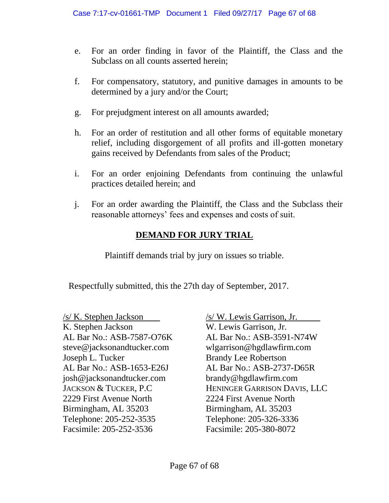- e. For an order finding in favor of the Plaintiff, the Class and the Subclass on all counts asserted herein;
- f. For compensatory, statutory, and punitive damages in amounts to be determined by a jury and/or the Court;
- g. For prejudgment interest on all amounts awarded;
- h. For an order of restitution and all other forms of equitable monetary relief, including disgorgement of all profits and ill-gotten monetary gains received by Defendants from sales of the Product;
- i. For an order enjoining Defendants from continuing the unlawful practices detailed herein; and
- j. For an order awarding the Plaintiff, the Class and the Subclass their reasonable attorneys' fees and expenses and costs of suit.

# **DEMAND FOR JURY TRIAL**

Plaintiff demands trial by jury on issues so triable.

Respectfully submitted, this the 27th day of September, 2017.

 $\sqrt{s}$  K. Stephen Jackson  $\sqrt{s}$  W. Lewis Garrison, Jr. K. Stephen Jackson W. Lewis Garrison, Jr. steve@jacksonandtucker.com wlgarrison@hgdlawfirm.com Joseph L. Tucker Brandy Lee Robertson josh@jacksonandtucker.com brandy@hgdlawfirm.com 2229 First Avenue North 2224 First Avenue North Birmingham, AL 35203 Birmingham, AL 35203 Telephone: 205-252-3535 Telephone: 205-326-3336 Facsimile: 205-252-3536 Facsimile: 205-380-8072

AL Bar No.: ASB-7587-O76K AL Bar No.: ASB-3591-N74W AL Bar No.: ASB-1653-E26J AL Bar No.: ASB-2737-D65R JACKSON & TUCKER, P.C HENINGER GARRISON DAVIS, LLC